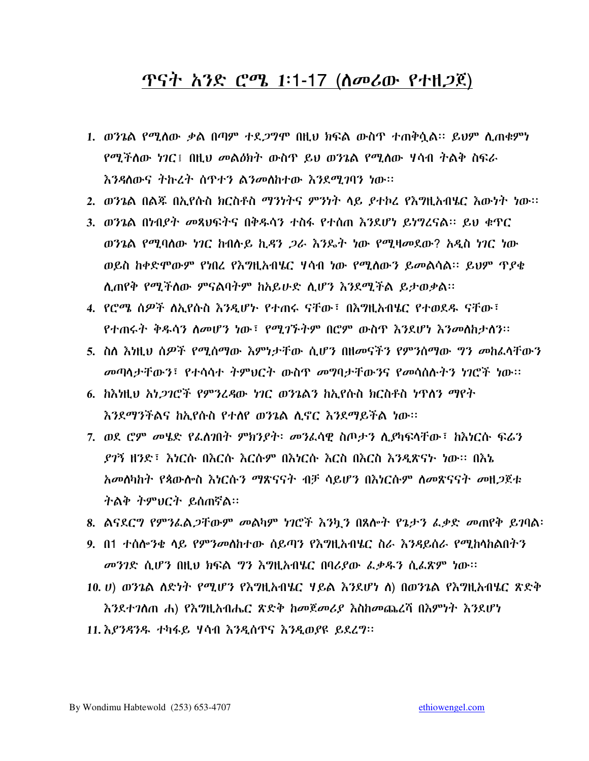#### <u>ጥናት አንድ ሮሜ 1፡1-17 (ስመሪው የተዘጋጀ)</u>

- 1. ወንጌል የሚሰው ቃል በጣም ተደ*ጋግ*ሞ በዚህ ክፍል ውስጥ ተጠቅሷል፡፡ ይህም ሲጠቁምነ የሚችለው ነገር፤ በዚህ መልዕክት ውስዋ ይህ ወንጌል የሚለው ሃሳብ ትልቅ ስፍራ እንዳለውና ትኩረት ሰጥተን ልንመለከተው እንደሚገባን ነው፡፡
- 2. ወንጌል በልጁ በኢየሱስ ክርስቶስ ማንነትና ምንነት ላይ ያተኮረ የእግዚአብሄር እውነት ነው፡፡
- 3. ወንጌል በነብያት መጻህፍትና በቅዱሳን ተስፋ የተሰጠ እንደሆነ ይነግረናል። ይህ ቁጥር ወንጌል የሚባሰው ነገር ከብሱይ ኪዳን *ጋራ እን*ይት ነው የሚዛመደው? አዲስ ነገር ነው ወይስ ከቀድሞውም የነበረ የእግዚአብሄር ሃሳብ ነው የሚሰውን ይመልሳል። ይህም ጥያቄ ሲጠየቅ የሚችለው ምናልባትም ከአይሁድ ሲሆን እንደሚችል ይታወቃል።
- 4. የሮሜ ሰዎች ለአየሱስ እንዳሆኑ የተጠሩ ናቸው፣ በእማዘአብሄር የተመደዱ ናቸው፣ የተጠሩት ቅዱሳን ስመሆን ነው፣ የሚገኙትም በሮም ውስጥ እንደሆነ እንመስከታሰን፡፡
- 5. ስለ እነዚህ ሰዎች የሚሰማው እምነታቸው ሲሆን በዘመናችን የምንሰማው ግን መከፈላቸውን *መ*ጣላታቸውን፣ የተሳሳተ ትምህርት ውስዋ *መግ*ባታቸውንና የመሳሰሉትን ነገሮች ነው።
- 6. ከእነዚህ አነ*ጋገ*ሮች የምንረዳው ነገር ወንጌልን ከአየሱስ ክርስቶስ ነዋለን ማየት እንደማንችልና ከኢየሱስ የተለየ ወንጌል ሲኖር እንደማይችል ነው።
- 7. ወደ ሮም መሄድ የፌስ⁄በት ምክንያት፡ መንፈሳዊ ስጦታን ሲያካፍሳቸው፣ ከእነርሱ ፍሬን *ደገ*ኝ ዘንድ፣ እነርሱ በእርሱ እርሱም በእነርሱ እርስ በእርስ እንዲጽናታ ነው። በእኔ ትልቅ ትምህርት ይሰጠኛል።
- 8. ልናደርግ የምንፌል*ጋ*ቸውም መልካም ነገሮች እንኳን በጸሎት የጌታን ፌቃድ መጠየቅ ይገባል፡
- 9. በ1 ተሰሎንቂ ላይ የምንመስከተው ሰይጣን የእግዚአብሄር ስራ እንዳይሰራ የሚከላከልበትን መንገድ ሲሆን በዚህ ክፍል ግን እግዚአብሄር በባሪያው ፌቃዱን ሲፌጽም ነው።
- 10. ሀ) ወንጌል ስድነት የሚሆን የእግዚአብሄር ሃይል እንደሆነ ስ) በወንጌል የእግዚአብሄር ጽድቅ እንደተገለጠ ሐ) የእግዚአብሔር ጽድቅ ከመጀመሪያ እስከመጨረሻ በእምነት እንደሆነ
- 11. እያንዳንዱ ተካፋይ ሃሳብ እንዲሰጥና እንዲወያዩ ይደረግ፡፡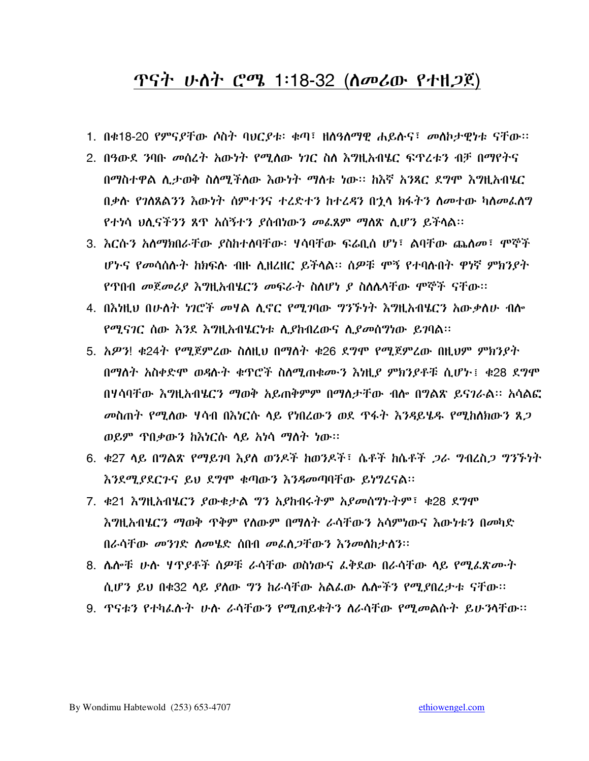#### <u>ጥናት ሁስት ሮሜ 1፡18-32 (ስመሪው የተዘጋጀ)</u>

- 1. በቁ18-20 የምናያቸው ሶስት ባህርያቱ፡ ቁጣ፣ ዘለዓለማዊ ሐይሉና፣ መለኮታዊነቱ ናቸው።
- 2. በዓውደ ንባቡ መሰረት አውነት የሚለው ነገር ስለ እግዚአብሄር ፍጥረቱን ብቻ በማየትና በማስተዋል ሲታወቅ ስለሚችለው እውነት ማስቱ ነው፡፡ ከእኛ አንጻር ደግሞ እግዚአብሄር በቃሱ የገለጸልንን እውነት ሰምተንና ተረድተን ከተረዳን በኋላ ክፋትን ስመተው ካስመፌስግ የተነሳ ህሲናችንን ጸጥ አሰኝተን ያሰብነውን መፌጸም ማስጽ ሲሆን ይችሳል።
- 3. እርሱን አለማክበራቸው ያስከተለባቸው፡ ሃሳባቸው ፍሬቢስ ሆነ፣ ልባቸው ጨለመ፣ ሞኞች ሆኑና የመሳሰሱት ከክፍሱ ብዙ ሲዘረዘር ይችላል፡፡ ሰዎቹ ሞኝ የተባሱበት ዋነኛ ምክንያት የጥበብ *መ*ጀ*መሪያ እግ*ዚ*አ*ብሄርን መፍራት ስለሆነ ያ ስለሌላቸው ሞኞች ናቸው።
- 4. በእነዚህ በሁለት ነገሮች መሃል ሊኖር የሚገባው ግንኙነት እግዚአብሄርን አውቃለሁ ብሎ *የሚናገር ስ*ው *እን*ደ እ*ግ*ዚአብሄርታቱ ሲያከብረውና ሲያ*መ*ሰማነው ይገባል።
- 5. አዎን! ቁ24ት የሚጀምረው ስስዚህ በማስት ቁ26 ደግሞ የሚጀምረው በዚህም ምክንደት በማለት አስቀድሞ ወዳሉት ቁጥሮች ስለሚጠቁሙን እነዚደ ምክንደቶቹ ሲሆኑ፤ ቁ28 ደግሞ በሃሳባቸው እግዚአብሄርን ማወቅ አይጠቅምም በማስታቸው ብሎ በግልጽ ይናገራል። አሳልፎ *መ*ስጠት የሚሰው ሃሳብ በእነርሱ ሳይ የነበረውን ወደ ዋፋት እንዳይሄዱ የሚከሰክውን ጸ*ጋ* ወይም ጥበቃውን ከእነርሱ ላይ አነሳ ማስት ነው።
- 6. ቁ27 ሳይ በግልጽ የማይገባ እያለ ወንዶች ከወንዶች፣ ሴቶች ከሴቶች *ጋራ ግ*ብረስ*ጋ ግንኙነት* እንደሚያደርጉና ይህ ደግሞ ቁጣውን እንዳመጣባቸው ይነግረናል፡፡
- 7. ቀ21 እግዚአብሄርን ያውቁታል ግን አያከብሩትም አያመሰግኮትም፣ ቀ28 ደግሞ እግዚአብሄርን ማወቅ ጥቅም የለውም በማለት ራሳቸውን አሳምነውና እውነቱን በመካድ በራሳቸው መንገድ ስመሄድ ሰበብ መፌስ*ጋ*ቸውን እንመስከታስን፡፡
- 8. ሴሎቹ ሁሉ ሃዋያቶች ሰዎቹ ራሳቸው ወስነውና ፌቅደው በራሳቸው ሳይ የሚፌጽሙት ሲሆን ይህ በቁ32 ሳይ ያስው ግን ከራሳቸው አልፌው ሴሎችን የሚያበረታቱ ናቸው።
- 9. ጥናቱን የተካፌሱት ሁስ ራሳቸውን የሚጠይቁትን ስራሳቸው የሚመልሱት ይሁንሳቸው።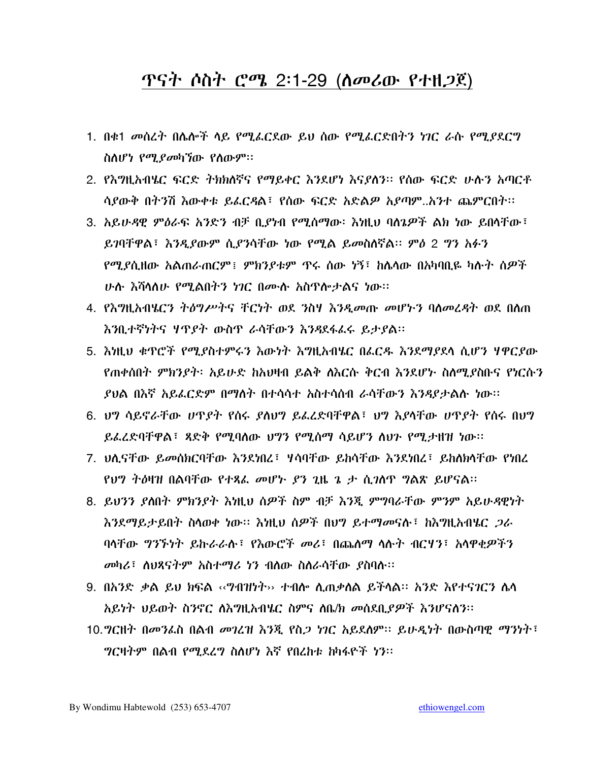#### ጥናት ሶስት ሮሜ 2፡1-29 (ስመሪው የተዘ*ጋ*ጀ)

- 1. በቁ1 መሰረት በሌሎች ላይ የሚፌርደው ይህ ሰው የሚፌርድበትን ነገር ራሱ የሚያደርግ ስስሆነ የሚያመካኘው የስውም።
- 2. የእግዚአብሄር ፍርድ ትክክለኛና የማይቀር እንደሆነ እናያለን። የሰው ፍርድ ሁሉን አጣርቶ ሳያውቅ በትንሽ እውቀቱ ይፌርዳል፣ የሰው ፍርድ አድልዎ አያጣም..አንተ ጨምርበት፡፡
- 3. አይሁዳዊ ምዕራፍ አንድን ብቻ ቢያነብ የሚሰማው፡ እነዚህ ባስጌዎች ልክ ነው ይበሳቸው፣ ይገባቸዋል፣ እንዲያውም ሲያንሳቸው ነው የሚል ይመስለኛል። ምዕ 2 ግን አፉን <u>የሚያሲዘው አልጠራጠርም፤ ምክንያቱም ዋሩ ሰው ነኝ፤ ከሴላው በአካባቢዬ ካሉት ሰዎች</u> <u>ሁሉ እሻሳለሁ የሚልበትን ነገር በሙሉ አስዋሎታልና ነው፡፡</u>
- 4. የእግዚአብሄርን ትዕግሥትና ቸርነት ወደ ንስሃ እንዲመጡ መሆኑን ባስመረዳት ወደ በስጠ እንቢተኛነትና ሃጥያት ውስጥ ራሳቸውን እንዳደፋፈሩ ይታያል።
- 5. እነዚህ ቁጥሮች የሚያስተምሩን እውነት እግዚአብሄር በፌርዱ እንደማያደላ ሲሆን ሃዋርያው የጠቀሰበት ምክንያት፡ አይሁድ ከአህዛብ ይልቅ ስእርሱ ቅርብ እንደሆኑ ስለሚያስቡና የነርሱን ያህል በእኛ አይፌርድም በማስት በተሳሳተ አስተሳሰብ ራሳቸውን እንዳያታልሱ ነው።
- 6. ህግ ሳይኖራቸው ሀጥያት የሰሩ ያስህግ ይፌሬድባቸዋል፣ ህግ እያሳቸው ሀጥያት የሰሩ በህግ ይፌሬድባቸዋል፣ ጻድቅ የሚባሰው ህግን የሚሰማ ሳይሆን ስህን የሚታዘዝ ነው።
- 7. ህሊናቸው ይመሰክርባቸው እንደነበረ፣ ሃሳባቸው ይከሳቸው እንደነበረ፣ ይከለክሳቸው የነበረ የህግ ተዕዛዝ በልባቸው የተጻፌ መሆኑ *ያን* ጊዜ ጌ ታ ሲ*ገ*ሰጥ ግልጽ ይሆናል።
- 8. ይህንን ደሰበት ምክንደት እነዚህ ሰዎች ስም ብቻ እንጂ ምግባራቸው ምንም አይሁዳዊነት እንደማይታይበት ስላወቀ ነው። እነዚህ ሰ*ዎች* በህግ ይተማመናሉ፣ ከእግዚአብሄር *ጋራ* ባላቸው ግንኙነት ይኩራራሉ፣ የእውሮች መሪ፣ በጨለማ ላሉት ብርሃን፣ አላዋቂዎችን መካሪ፣ ስሀጻናትም አስተማሪ ነን ብስው ስስራሳቸው ያስባሉ።
- 9. በአንድ ቃል ይህ ክፍል «ግብዝነት›› ተብሎ ሲጠቃሰል ይችሳል። አንድ እየተናገርን ሴሳ አይነት ህይወት ስንኖር ስእግዚአብሄር ስምና ስቤ/ክ መሰደቢያዎች እንሆናስን፡፡
- 10.*ግር*ዘት በመንፌስ በልብ መንረዝ እንጂ የስ*ጋ ነገር አ*ይደለም፡፡ ይሁ*ዲነ*ት በውስጣዊ ማንነት፣ *ግር*ዛትም በልብ *የሚደረግ* ስለሆነ እኛ የበረከቱ ከካፋዮች ነን፡፡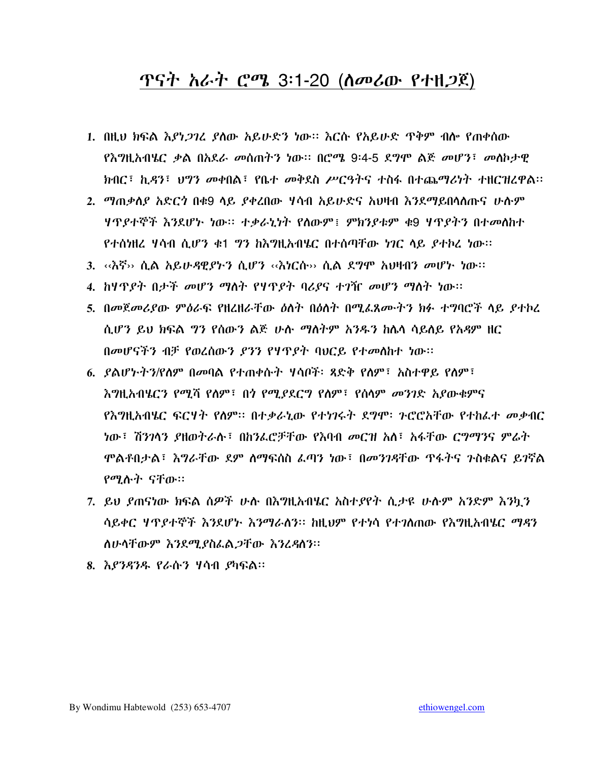#### <u>ጥናት አራት ሮሜ 3፡1-20 (ሰመሪው የተዘጋጀ)</u>

- 1. በዚህ ክፍል እያነ*ጋገ*ረ ያስው አይሁድን ነው። እርሱ የአይሁድ **ዋቅም ብሎ የ**ጠቀሰው የእግዚአብሄር ቃል በአደራ መሰጠትን ነው። በሮሜ 9፡4-5 ደግሞ ልጅ መሆን፣ መስኮታዊ ክብር፣ ኪዳን፣ ህግን መቀበል፣ የቤተ መቅደስ ሥርዓትና ተስፋ በተጨማሪነት ተዘርዝረዋል፡፡
- 2. *ማጠቃስያ አ*ድር*ጎ* በቁ9 ሳይ *ያቀ*ረበው ሃሳብ አይሁድና አህዛብ እንደማይበሳሰጡና ሁሱም ሃጥያተኞች እንደሆኑ ነው። ተቃራኒነት የስውም፤ ምክንያቱም ቁ9 ሃጥያትን በተመስከተ የተሰነዘረ ሃሳብ ሲሆን ቁ1 ንን ከእግዚአብሄር በተሰጣቸው ነገር ላይ ያተኮረ ነው፡፡
- 3. <ላሽኝ›› ሲል አይሁዳዊያትን ሲሆን <‹ሽነርሱ›› ሲል ደግሞ አህዛብን መሆኑ ነው፡፡
- 4. ከሃጥያት በታች መሆን ማስት የሃጥያት ባሪያና ተንዥ መሆን ማስት ነው።
- 5. በመጀመሪያው ምዕራፍ የዘረዘራቸው ዕለት በዕለት በሚፌጸሙትን ክፉ ተግባሮች ላይ ያተኮረ ሲሆን ይህ ክፍል ግን የሰውን ልጅ ሁሉ ማስትም አንዱን ከሌላ ሳይሰይ የአዳም ዘር በመሆናችን ብቻ የወረሰውን ያንን የሃዋያት ባህርይ የተመሰከተ ነው።
- 6. ይልሆኑትን/የስም በመባል የተጠቀሱት ሃሳቦች፡ ጻድቅ የስም፣ አስተዋይ የስም፣ <u> እግዚአብሄርን የሚሻ የለም፣ በጎ የሚደደርግ የለም፣ የሰላም መንገድ አደውቁምና</u> የእግዚአብሄር ፍርሃት የስም፡፡ በተቃራኒው የተነንሩት ደግሞ፡ ንሮሮአቸው የተከራተ መቃብር ነው፣ ሽንንላን ያዘወትራሉ፣ በከንፌሮቻቸው የእባብ *መ*ርዝ አለ፣ አፋቸው ር*ግግ*ንና ም*ሬ*ት ሞልቶበታል፣ እግራቸው ደም ሰማፍሰስ ፌጣን ነው፣ በመንገዳቸው ዋፋትና ንስቁልና ይገኛል የሚሉት ናቸው።
- 7. ይህ ደጠናነው ክፍል ሰዎች ሁሉ በእግዚአብሄር አስተያየት ሲታዩ ሁሉም አንድም እንካን ሳይቀር ሃጥያተኞች እንደሆኑ እንማራሰን። ከዚህም የተነሳ የተንስጠው የእግዚአብሄር ማዳን ስሁሳቸውም እንደሚያስፌል*ጋ*ቸው እንረዳስን፡፡
- 8. እ*ያንዳንዱ የራ*ሱን ሃሳብ *ያ*ካፍል።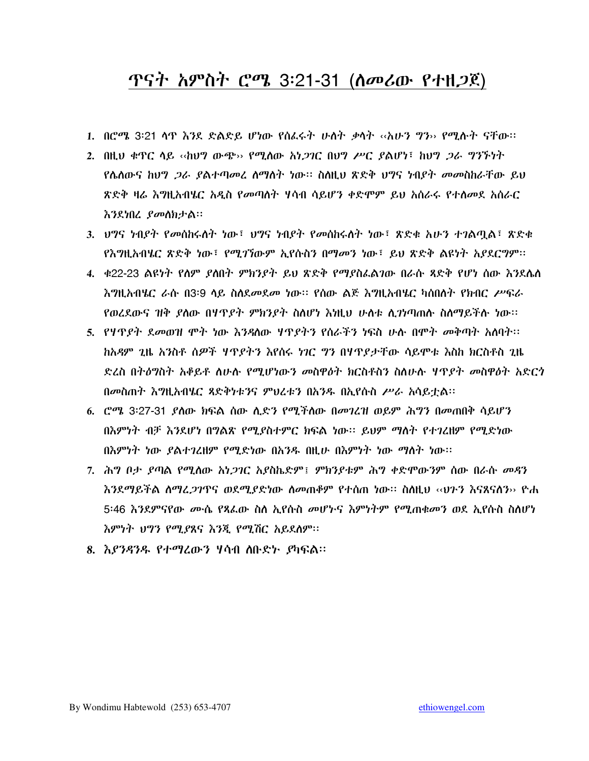#### ጥናት አምስት ሮሜ 3፡21-31 (ስመሪው የተዘ*ጋ*ጀ)

- 1. በሮሜ 3፡21 ሳዋ እንደ ድልድይ ሆነው የስፌሩት ሁስት ቃሳት ‹‹አሁን ግን›› የሚሉት ናቸው፡፡
- 2. በዚህ ቁዋር ሳይ ‹‹ከሀግ ውጭ›› የሚለው አነ*ጋገ*ር በሀግ ሥር ያልሆነ፣ ከሀግ *ጋራ ግኘ*ችነት የሴስውና ከህግ *ጋራ ያ*ልተጣመረ ስማስት ነው። ስስዚህ ጽድቅ ህግና ነብያት መመስከራቸው ይህ ጽድቅ ዛሬ እግዚአብሄር አዲስ የመጣለት ሃሳብ ሳይሆን ቀድሞም ይህ አሰራሩ የተሰመደ አሰራር እንደነበረ ያመለክታል።
- 3. ህግና ነብያት የመሰከሩስት ነው፤ ህግና ነብያት የመሰከሩስት ነው፤ ጽድቁ አሁን ተገልጧል፤ ጽድቁ የእግዚአብሄር ጽድቅ ነው፣ የሚገኘውም ኢየሱስን በማመን ነው፣ ይህ ጽድቅ ልዩነት አያደርግም።
- 4. ቀ22-23 ልዩነት የስም ያስበት ምክንያት ይህ ጽድቅ የማያስፌልገው በራሱ ጻድቅ የሆነ ሰው እንደሴስ እግዚአብሄር ራሱ በ3፡9 ላይ ስለደመደመ ነው፡፡ የሰው ልጅ እግዚአብሄር ካሰበለት የክብር ሥፍራ የወረደውና ዝቅ ያለው በሃዋያት ምክንያት ስለሆነ እነዚህ ሁለቱ ሲንነጣጠሉ ስለማይችሉ ነው።
- 5. የሃዋያት ደመወዝ ሞት ነው እንዳስው ሃዋያትን የሰራችን ነፍስ ሁሉ በሞት መቅጣት አስባት። <u>ከአዳም ጊዜ አንስቶ ሰዎች ሃጥደትን እየሰሩ ነገር ግን በሃጥደታቸው ሳይሞቱ እስከ ክርስቶስ ጊዜ</u> ድረስ በትዕግስት አቆይቶ ለሁሉ የሚሆነውን መስዋዕት ክርስቶስን ስለሁሉ ሃጥያት መስዋዕት አድርጎ በመስጠት እግዚአብሄር ጻድቅነቱንና ምህረቱን በአንዱ በኢየሱስ ሥራ አሳይቷል፡፡
- 6. ሮሜ 3፡27-31 ያለው ክፍል ሰው ሲድን የሚችለው በመገረዝ ወይም ሕግን በመጠበቅ ሳይሆን በእምነት ብቻ እንደሆነ በግልጽ የሚያስተምር ክፍል ነው። ይህም ማስት የተገረዘም የሚድነው በእምነት ነው ያልተገረዘም የሚድነው በአንዱ በዚሁ በእምነት ነው ማለት ነው።
- 7. ሕግ ቦታ ያጣል የሚለው አነ*ጋገ*ር አያስኬድም፤ ምክንያቱም ሕግ ቀድሞውንም ሰው በራሱ *መዳ*ን እንደማይችል ስማሬ*ጋገ*ዋና ወደሚያድነው ስመጠቆም የተሰጠ ነው። ስስዚህ ‹‹ህጉን እናጸናስን›› ዮሐ 5፡46 እንደምናየው ሙሴ የጻፌው ስለ ኢየሱስ መሆኑና እምነትም የሚጠቁመን ወደ ኢየሱስ ስለሆነ እምነት ህግን የሚያጸና እንጂ የሚሽር አይደለም፡፡
- 8. እያንዳንዱ የተማረውን ሃሳብ ሰቡድኑ ያካፍል፡፡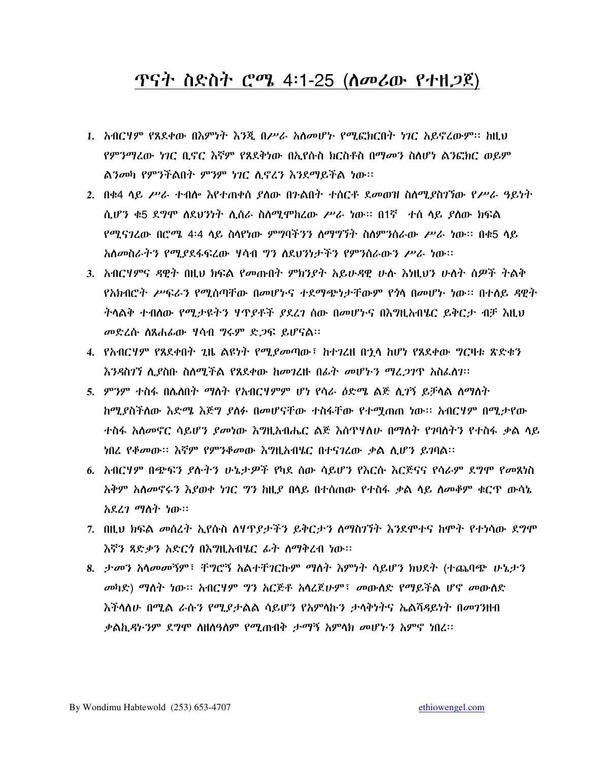#### ጥናት ስድስት ሮሜ 4፡1-25 (ስመሪው የተዘ*ጋ*ጀ)

- 1. ስብርሃም የጸደቀው በእምነት እንጂ በሥራ አለመሆኑ የሚፎክርበት ነገር አይኖረውም፡፡ ከዚህ *የምንማረ*ው *ነገር* ቢኖር እኛም የጸደቅነው በኢየሱስ ክርስቶስ በማመን ስስሆነ ልንፎክር ወይም ልንመካ የምንችልበት ምንም ነገር ሲኖረን እንደማይችል ነው።
- 2. በቁ4 ሳይ ሥራ ተብሎ እየተጠቀሰ ያሰው በንልበት ተሰርቶ ደመወዝ ስለሚያስገኘው የሥራ ዓይነት ሲሆን ቁ5 ደግሞ ስደህንነት ሲሰራ ስስሚሞከረው ሥራ ነው። በ1ኛ -ተስ ሳይ ያስው ክፍል የሚናገረው በሮሜ 4፡4 ላይ ስላየነው ምግባችንን ስማግኘት ስስምንስራው ሥራ ነው። በቁ5 ላይ አስመስራትን የሚያደፋፍረው ሃሳብ ግን ስደህንነታችን የምንስራውን ሥራ ነው።
- 3. አብርሃምና ዳዊት በዚህ ክፍል የመጡበት ምክንያት አይሁዳዊ ሁሉ እነዚህን ሁለት ሰዎች ትልቅ የአክብሮት ሥፍራን የሚሰጣቸው በመሆኑና ተደማጭነታቸውም የጎላ በመሆኑ ነው። በተለይ ዳዊት *ት*ሳልቅ ተብለው የሚ*ታዩትን ዛጥያቶች ያ*ደረ*ገ* ሰው በመሆኑና በእግዚአብሄር ይቅርታ ብቻ እዚህ መድረሱ ስጸሐፊው ሃሳብ ግሩም ድጋፍ ይሆናል።
- 4. የአብርሃም የጸደቀበት ጊዜ ልዩነት የሚያመጣው፣ ከተገረዘ በኀሳ ከሆነ የጸደቀው *ግ*ርዛቱ ጽድቁን እንዳስገኘ ሊደስቡ ስለሚችል የጸደቀው ከመገረዙ በፊት መሆኑ*ን ማሬጋገ*ዋ አስፌስን፡፡
- 5. ምንም ተስፋ በሌለበት ማስት የአብርሃምም ሆነ የሳራ ዕድሜ ልጅ ሲገኝ ይቻሳል ስማስት ከሚያስችለው እድሜ እጅግ ያለፉ በመሆናቸው ተስፋቸው የተሚጠጠ ነው። አብርሃም በሚታየው ተስፋ አስመኖር ሳይሆን ያመነው እግዚአብሔር ልጅ እስዋሃስሁ በማስት የገባስትን የተስፋ ቃል ሳይ ነበረ የቆመው። እኛም የምንቆመው እግዚአብሄር በተናገረው ቃል ሲሆን ይገባል፡፡
- 6. አብርሃም በጭፍን ያሉትን ሁኔታዎች የካደ ሰው ሳይሆን የእርሱ እርጅናና የሳራም ደግሞ የመጸነስ አቅም አሰመኖሩን እያወቀ ነገር ግን ከዚያ በላይ በተሰጠው የተስፋ ቃል ላይ ሰመቆም ቁርጥ ውሳኔ አደረገ ማስት ነው።
- 7. በዚህ ክፍል መሰረት ኢየሱስ ስሃዋያታችን ይቅርታን ስማስገኘት እንደሞተና ከሞት የተነሳው ደግሞ እኛን ጻድቃን አድርጎ በእግዚአብሄር ፊት ስማቅረብ ነው፡፡
- 8. ታመን አሳመመኝም፣ ቸግሮኝ አልተቸገርኩም ማስት እምነት ሳይሆን ክህደት (ተጨባጭ ሁኔታን መካድ) ማስት ነው። አብርሃም ግን አርጅቶ አሳሪጀሁም፣ መውሰድ የማይችል ሆኖ መውሰድ እችላለሁ በሚል ራሱን የሚያታልል ሳይሆን የአምላኩን ታላቅነትና ኤልሻዳይነት በመገንዘብ *ቃ*ልኪ*ዳኑንም ደግሞ* ስዘስዓስም የሚጠብቅ *ታማኝ አ*ምሳክ መሆኑን አምኖ ነበረ፡፡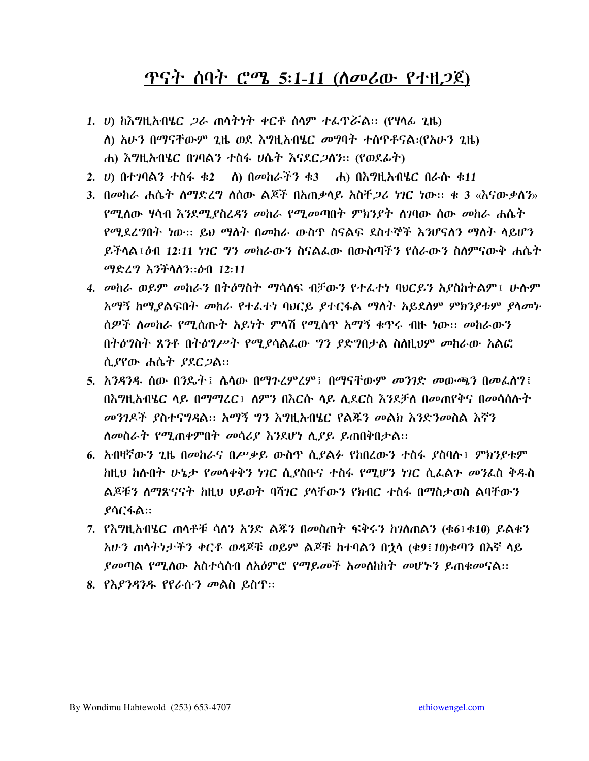#### <u> ጥናት ሰባት ሮሜ 5:1-11 (ስመሪው የተዘጋጀ)</u>

- 1. ሀ) ከእግዚአብሄር *ጋ*ራ ጠሳትነት ቀርቶ ሰሳም ተፌዋሯል። (የሃሳፊ ጊዜ) ለ) አሁን በማናቸውም ጊዜ ወደ እግዚአብሄር መግባት ተሰዋቶናል፡(የአሁን ጊዜ) ሐ) እግዚአብሄር በገባልን ተስፋ ሀሴት እናደር*ጋ*ስን። (የወደፊት)
- 2. *ሀ*) በተ*ገ*ባልን ተስፋ ቁ2 ስ) በመከራችን ቁ3 ሐ) በእግዚአብሄር በራሱ ቁ11
- 3. በመከራ ሐሴት ስማድረግ ስሰው ልጆች በአጠቃላይ አስቸ*ጋሪ* ነገር ነው። ቁ 3 «እናውቃስን» የሚለው ሃሳብ እንደሚደስረዳን መከራ የሚመጣበት ምክንያተ ስገባው ሰው መከራ ሐሴት የሚደረግበት ነው። ይህ ማስት በመከራ ውስጥ ስናልፍ ደስተኞች እንሆናስን ማስት ሳይሆን ይችላል ፤ ዕብ 12:11 ነንር .ግን መከራውን ስናልፌው በውስጣችን የሰራውን ስለምናውቅ ሐሴት ማድረግ እንችላለን:: ዕብ 12:11
- 4. መከራ ወይም መከራን በትዕግስት ማሳሰፍ ብቻውን የተፈተነ ባህርይን አያስከትልም፤ ሁሉም አማኝ ከሚያልፍበት መከራ የተፌተነ ባህርይ ያተርፋል ማስት አይደስም ምክንያቱም ያሳመኑ ሰዎች ስመከራ የሚሰጡት አይነት ምላሽ የሚሰጥ አማኝ ቁጥሩ ብዙ ነው። መከራውን በትዕግስት ጸንቶ በትዕግሥት የሚያሳልፌው ግን ያድግበታል ስስዚህም መከራው አልፎ ሲያየው ሐሴት ያደር*ጋ*ል።
- 5. አንዳንዱ ሰው በንዴት፤ ሴሳው በማጉረምረም፤ በማናቸውም መንገድ መውጫን በመፈሰግ፤ በእግዚአብሄር ላይ በማማረር፤ ለምን በእርሱ ላይ ሲደርስ እንደቻለ በመጠየቅና በመሳሰሱት *መንገዶች ያስተናግዳ*ል። *አማኝ ግን እግ*ዚአብሄር የልጁን መልክ እንድንመስል እኛን ለመስራት የሚጠቀምበት መሳሪያ እንደሆነ ሲያይ ይጠበቅበታል፡፡
- 6. አብዛኛውን ጊዜ በመከራና በሥቃይ ውስጥ ሲያልፉ የከበረውን ተስፋ ያስባሉ፤ ምክንያቱም ከዚህ ከስብት ሁኔታ የመሳቀቅን ነገር ሲያስቡና ተስፋ የሚሆን ነገር ሲፌልጉ መንፌስ ቅዱስ ልጆቹን ለማጽናናት ከዚህ ህይወት ባሻገር ያላቸውን የክብር ተስፋ በማስታወስ ልባቸውን ያሳርፋል።
- 7. የእግዚአብሄር ጠሳቶቹ ሳስን አንድ ልጁን በመስጠት ፍቅሩን ከገስጠልን (ቁ6፤ቁ10) ይልቁን አሁን ጠሳትነታችን ቀርቶ ወዳጆቹ ወይም ልጆቹ ከተባልን በኃሳ (ቁ9፤10)ቁጣን በእኛ ሳይ *ያመ*ጣል የሚሰው አስተሳሰብ ስአ*ዕ*ምሮ የማይ*መች* አመስከት መሆኑን ይጠቁመናል::
- 8. የእያንዳንዱ የየራሱን መልስ ይስጥ።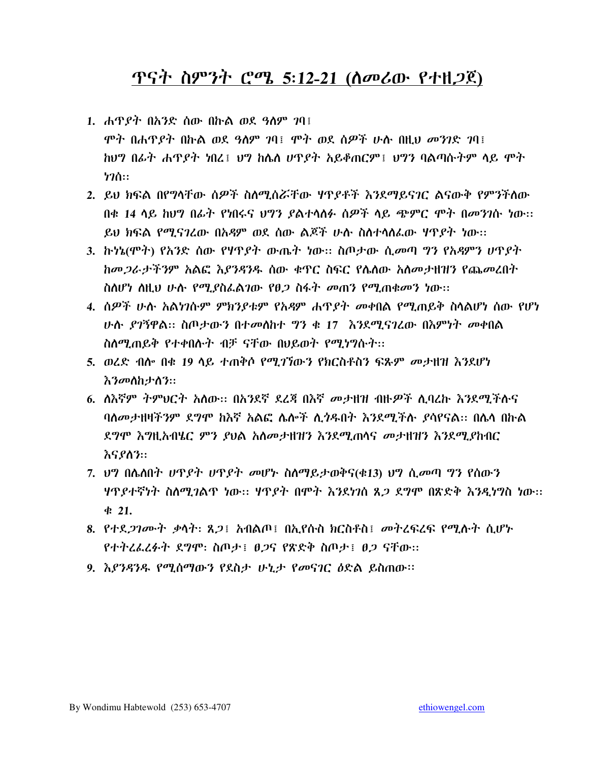#### <u> ዋናት ስምንት ሮሜ 5:12-21 (ስመሪው የተዘጋጀ)</u>

- 1. ሐዋ*ያት* በአንድ ሰው በኩል ወደ ዓለም *ገ*ባ፤ ሞት በሐዋያት በኩል ወደ ዓለም ገባ፤ ሞት ወደ ሰዎች ሁሉ በዚህ መንገድ ገባ፤ ከህግ በፊት ሐጥያት ነበረ፤ ህግ ከሴስ ሀጥያት አይቆጠርም፤ ህግን ባልጣሱትም ላይ ሞት  $h2h$ ::
- 2. ይህ ክፍል በየግላቸው ስዎች ስለሚሰሯቸው ሃዋደቶች እንደማይናገር ልናውቅ የምንችለው በቂ 14 ላይ ክህግ በፊት የነበሩና ህግን ደልተላለፉ ሰዎች ላይ ጭምር ሞት በመንገሱ ነው። ይህ ክፍል የሚናገረው በአዳም ወደ ሰው ልጆች ሁሱ ስስተሳሰፌው ሃጥያት ነው፡፡
- 3. ኩነኔ(ሞት) የአንድ ሰው የሃዋያት ውጤት ነው። ስጦታው ሲመጣ ግን የአዳምን ሆዋያት ከመ*ጋ*ራታችንም አልፎ እ*ያንዳ*ንዱ ሰው ቁጥር ስፍር የሴስው አስመታዘዝን የጨመረበት ስለሆነ ስዚህ ሁሉ የሚያስፌልገው የፀ*ጋ* ስፋት መጠን የሚጠቁመን ነው።
- 4. ሰዎች ሁሉ አልነገሱም ምክንያቱም የአዳም ሐጥያት መቀበል የሚጠይቅ ስላልሆነ ሰው የሆነ ሁሉ ያገኝዋል። ስጦታውን በተመሰከተ ግን ቁ 17 እንደሚናገረው በእምነት መቀበል ስለሚጠይቅ የተቀበሉት ብቻ ናቸው በህይወት የሚነግሱት፡፡
- 5. ወሬድ ብሎ በቁ 19 ላይ ተጠቅሶ የሚ*ገኘ*ውን የክርስቶስን ፍጹም *መታ*ዘዝ እንደሆነ *እንመ*ለከታለን።
- 6. ለእኛም ትምህርት አለው፡፡ በአንደኛ ደረጃ በእኛ መታዘዝ ብዙዎች ሊባረኩ እንደሚችሉና ባለመታዘዛችንም ደግሞ ክእኛ አልፎ ሌሎች ሊጎዱበት እንደሚችሉ ደሳየናል። በሌላ በኩል ደግሞ እግዚአብሄር ምን ያህል አለመታዘዝን እንደሚጠሳና መታዘዝን እንደሚያከብር እናያለን።
- 7. ህግ በሌለበት ሆኖያት ሆኖያት መሆኑ ስለማይታወቅና(ቁ13) ህግ ሲመጣ ግን የሰውን ሃዋያተኛነት ስለሚገልዋ ነው። ሃዋያት በሞት እንደነገስ ጸ*ጋ* ደግሞ በጽድቅ እንዲነግስ ነው።  $421.$
- 8. የተደ*ጋገሙት ቃ*ሳት: ጸ*ጋ*፤ አብልጦ፤ በኢየሱስ ክርስቶስ፤ መትረፍረፍ የሚሱት ሲሆኑ የተትረፌረፉት ደግሞ: ስጦታ ፣ ፀጋና የጽድቅ ስጦታ ፣ ፀጋ ናቸው።
- 9. እያንዳንዱ የሚሰማውን የደስታ ሁኒታ የመናገር ዕድል ይስጠው።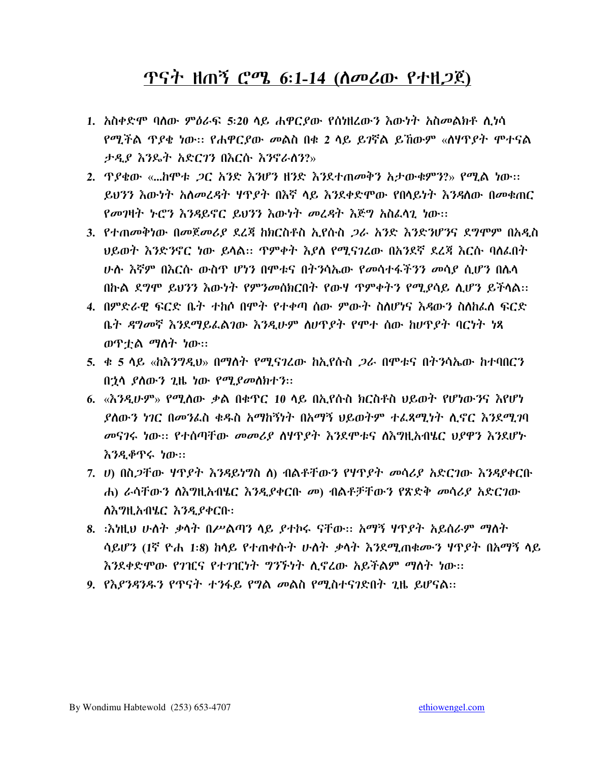#### <u> ዋናት ዘጠኝ ሮሜ 6:1-14 (ስመሪው የተዘጋጀ)</u>

- 1. አስቀድሞ ባለው ምዕራፍ 5፡20 ላይ ሐዋርያው የሰነዘረውን እውነት አስመልክቶ ሲነሳ <u>የሚችል ዋደቄ ነው። የሐዋርደው መልስ በቁ 2 ላይ ይገኛል ይኸውም «ለዛዋደት ሞተናል</u> ታዲያ እንዴት አድርገን በእርሱ እንኖራሰን?»
- ይህንን እውነት አስመረዳት ሃዋያት በእኛ ላይ እንደቀድሞው የበላይነት እንዳለው በመቁጠር የመገዛት ኑሮን እንዳይኖር ይህንን እውነት መረዳት እጅግ አስፈላጊ ነው፡፡
- 3. የተጠመቅነው በመጀመሪያ ደረጃ ከክርስቶስ ኢየሱስ *ጋ*ራ አንድ እንድንሆንና ደግሞም በአዲስ <u>ሁሉ እኛም በእርሱ ውስዋ ሆነን በሞቱና በትንሳኤው የመሳተፋችንን መሳደ ሲሆን በሴሳ</u> በኩል ደግሞ ይህንን እውነት የምንመሰክርበት የውሃ ጥምቀትን የሚያሳይ ሲሆን ይችላል።
- 4. በምድራዊ ፍርድ ቤት ተከሶ በሞት የተቀጣ ሰው ምውት ስስሆነና እዳውን ስስከፌስ ፍርድ ቤት ዳግመኛ እንደማይፌልገው እንዲሁም ስሆዋያት የሞተ ሰው ከሆዋያት ባርነት ነጻ ወዋቷል ማስት ነው።
- 5. ቀ 5 ላይ «ከእንግዲህ» በማለት የሚናገረው ከኢየሱስ *ጋ*ራ በምቱና በትንሳኤው ከተባበርን በኋላ ያስውን ጊዜ ነው የሚያመስክተን።
- 6. «እንዲሁም» የሚለው ቃል በቁጥር 10 ላይ በኢየሱስ ክርስቶስ ህይወት የሆነውንና እየሆነ ያለውን ነገር በመንፌስ ቁዱስ አማከኝነት በአማኝ ህይወትም ተፌጻሚነት ሲኖር እንደሚገባ መናገሩ ነው። የተሰጣቸው መመሪያ ስሃዋያት እንደሞቱና ስእግዚአብሄር ህያዋን እንደሆኑ እንዲቆዋሩ ነው።
- 7. ሀ) በስ*ጋ*ቸው ሃዋ*ያት እንዳ*ይነግስ ስ) ብልቶቸውን የሃዋ*ያት መ*ሳሪያ አድርገው እንዳያቀርቡ ሐ) ራሳቸውን ለእግዚአብሄር እንዲያቀርቡ መ) ብልቶቻቸውን የጽድቅ መሳሪያ አድርገው ለእግዚአብሄር እንዲያቀርቡ:
- 8. ፡እነዚህ ሁለት ቃላት በሥልጣን ላይ ያተኮሩ ናቸው፡፡ አማኝ ሃጥያት አይሰራም ማለት ሳይሆን (1ኛ ዮሐ 1:8) ከላይ የተጠቀሱት ሁለት ቃላት እንደሚጠቁሙን ሃዋያት በአማኝ ላይ እንደቀድሞው የገዢና የተገዢነት ግንኙነት ሊኖረው አይችልም ማስት ነው፡፡
- 9. የእያንዳንዱን የጥናት ተንፋይ የግል መልስ የሚስተናገድበት ጊዜ ይሆናል::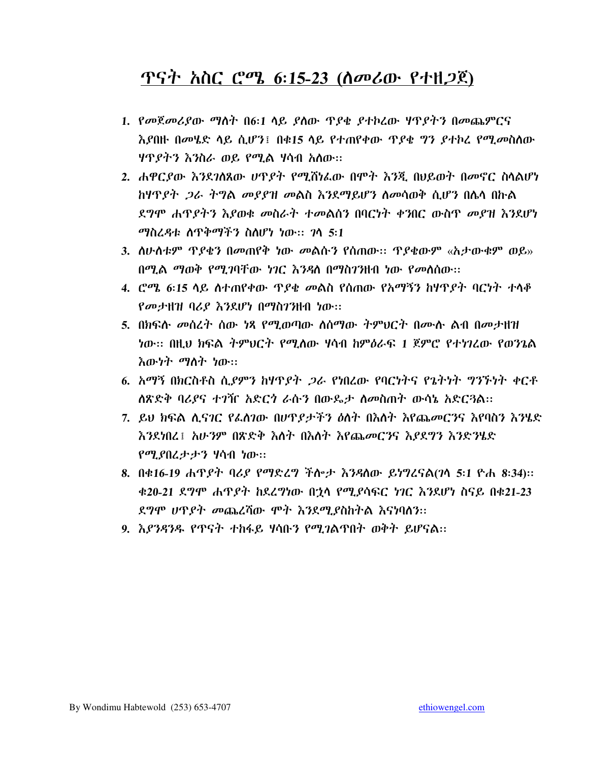#### <u> ዋናት አስር ሮሜ 6:15-23 (ለመሪው የተዘጋጀ)</u>

- 1. የመጀመሪያው ማስት በ6:1 ላይ ያስው ጥያቄ ያተኮረው ሃጥያትን በመጨምርና *እያ*በዙ በመሄድ ሳይ ሲሆን፤ በቁ15 ሳይ የተጠየቀው ጥያቄ ግን *ያ*ተኮረ የሚ*መ*ስሰው *ዛ*ዋ*ያትን እን*ስራ ወይ የሚል ሃሳብ አለው።
- 2. ሐዋርያው እንደገለጸው ሆኖያት የሚሸነፌው በሞት እንጂ በህይወት በመኖር ስላልሆነ *ከዛጥያት ጋራ ትግል መያያዝ መ*ልስ *እን*ደማይሆን ለመሳወቅ ሲሆን በሌላ በኩል ደግሞ ሐጥደትን እደወቁ መስራት ተመልሰን በባርነት ቀንበር ውስጥ መደዝ እንደሆነ ማስረዳቱ ስጥቅማችን ስስሆነ ነው፡፡ ገሳ 5፡1
- በሚል ማወቅ የሚገባቸው ነገር እንዳስ በማስገንዘብ ነው የመስሰው፡፡
- 4. ሮሜ 6፡15 ላይ ስተጠየቀው ጥያቄ መልስ የሰጠው የአማኝን ከሃዋያት ባርነት ተላቆ የመታዘዝ ባሪያ እንደሆነ በማስገንዘብ ነው፡፡
- 5. በክፍሱ መሰረት ሰው ነጻ የሚወጣው ለሰማው ትምህርት በሙሉ ልብ በመታዘዝ ነው፡፡ በዚህ ክፍል ትምህርት የሚለው ሃሳብ ከምዕራፍ 1 ጀምሮ የተነገረው የወንጌል እው*ነት ማ*ስት ነው።
- 6. አማኝ በክርስቶስ ሲያምን ከዛጥያት *ጋ*ራ የነበረው የባርነትና የጌትነት ግንኙነት ቀርቶ ለጽድቅ ባሪያና ተንዥ አድርጎ ራሱን በውዴታ ስመስጠት ውሳኔ አድርጓል።
- 7. ይህ ክፍል ሲናገር የፌስገው በሆኖደታችን ዕለት በእስት እየጨመርንና እየባስን እንሄድ እንደነበረ፤ አሁንም በጽድቅ እስት በእስት እየጨመርንና እያደግን እንድንሄድ የሚያበረታታን ሃሳብ ነው።
- 8. በቁ16-19 ሐጥያት ባሪያ የማድረግ ችሎታ እንዳስው ይነግረናል(ገሳ 5:1 ዮሐ 8:34):: ቁ20-21 ደግሞ ሐጥያት ከደረግነው በኃላ የሚያሳፍር ነገር እንደሆነ ስናይ በቁ21-23 ደግሞ ሀዋያት መጨረሻው ሞት እንደሚያስከትል እናነባለን፡፡
- 9. *እያንዳንዱ የ*ጥናት ተከፋይ ሃሳቡ*ን የሚገ*ልጥበት ወቅት ይሆናል።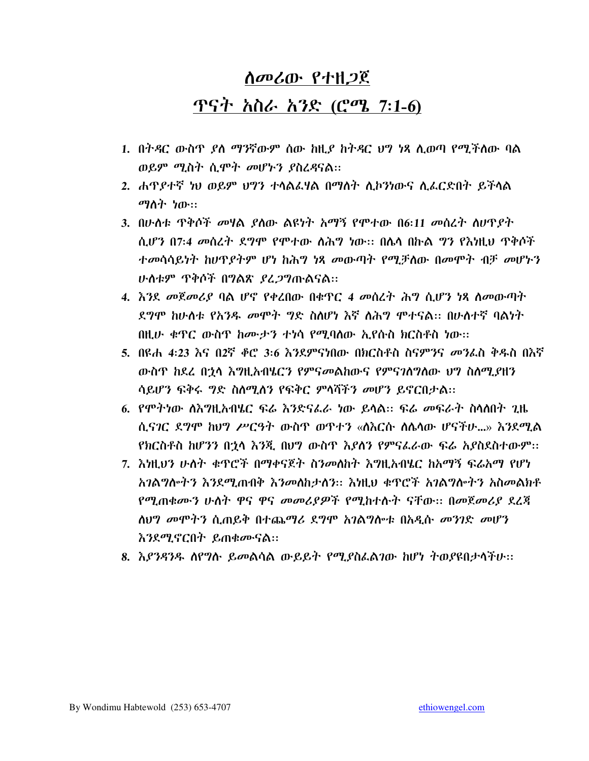#### ጥናት አስራ አንድ (<u>ሮሜ 7:1-6)</u>

- 1. በትዳር ውስጥ ያለ ማንኛውም ሰው ከዚያ ከትዳር ህግ ነጻ ሲወጣ የሚችለው ባል ወይም ሚስት ሲሞት መሆኑን ያስረዳናል፡፡
- 2. ሐዋያተኛ ነህ ወይም ህግን ተላልፌሃል በማለት ሊኮንነውና ሊፌርድበት ይችላል ማስት ነው።
- 3. በሁስቱ ዋቅሶች መሃል ያስው ልዩነት አማኝ የሞተው በ6:11 መሰረት ስሆዋያት ሲሆን በ7:4 መስረት ደግሞ የሞተው ስሕግ ነው። በሌላ በኩል ግን የእነዚህ ጥቅሶች ተመሳሳይነት ከሆኖያትም ሆነ ከሕግ ነጻ መውጣት የሚቻለው በመሞት ብቻ መሆኑን ሁስቱም ጥቅሶች በግልጽ ያረ*ጋግ*ጡልናል።
- 4. እንደ መጀመሪያ ባል ሆኖ የቀረበው በቁጥር 4 መስረት ሕግ ሲሆን ነጻ ስመውጣት ደግሞ ከሁለቱ የአንዱ መሞት ግድ ስለሆነ እኛ ስሕግ ሞተናል። በሁለተኛ ባልነት በዚሁ ቁዋር ውስዋ ከሙታን ተነሳ የሚባለው ኢየሱስ ክርስቶስ ነው፡፡
- 5. በዩሐ 4:23 እና በ2ኛ ቆሮ 3:6 እንደምናነበው በክርስቶስ ስናምንና *መን*ፈስ ቅዱስ በእኛ ውስጥ ከደረ በኋላ እግዚአብሄርን የምናመልከውና የምናንስግለው ህግ ስለሚያዘን ሳይሆን ፍቅሩ ግድ ስለሚለን የፍቅር ምላሻችን መሆን ይኖርበታል፡፡
- 6. የሞትነው ስእግዚአብሄር ፍሬ እንድናፌራ ነው ይሳል። ፍሬ መፍራት ስላለበት ጊዜ ሲና*ገ*ር ደግሞ ከህግ ሥርዓት ውስጥ ወጥተን «ስእርሱ ስሴሳው ሆናችሁ...» እንደሚል የክርስቶስ ከሆንን በኋላ እንጂ በሀግ ውስጥ እያስን የምናፌራው ፍሬ አያስደስተውም፡፡
- 7. እነዚህን ሁለት ቁጥሮች በማቀናጀት ስንመለከት እግዚአብሄር ከአማኝ ፍሬአማ የሆነ አንልግሎትን እንደሚጠብቅ እንመለከታለን:: እነዚህ ቁጥሮች አንልግሎትን አስመልክቶ የሚጠቁሙን ሁለት ዋና ዋና መመሪያዎች የሚከተሱት ናቸው። በመጀመሪያ ደረጃ ስህግ መሞትን ሲጠይቅ በተጨማሪ ደግሞ አገልግሎቱ በአዲሱ መንገድ መሆን *እንደሚኖርበት ይጠቁሙናል*፡፡
- 8. እ*ያንዳንዱ ስ*የግሱ ይመልሳል ውይይት የሚያስፈልገው ከሆነ ተወያዩበታሳችሁ፡፡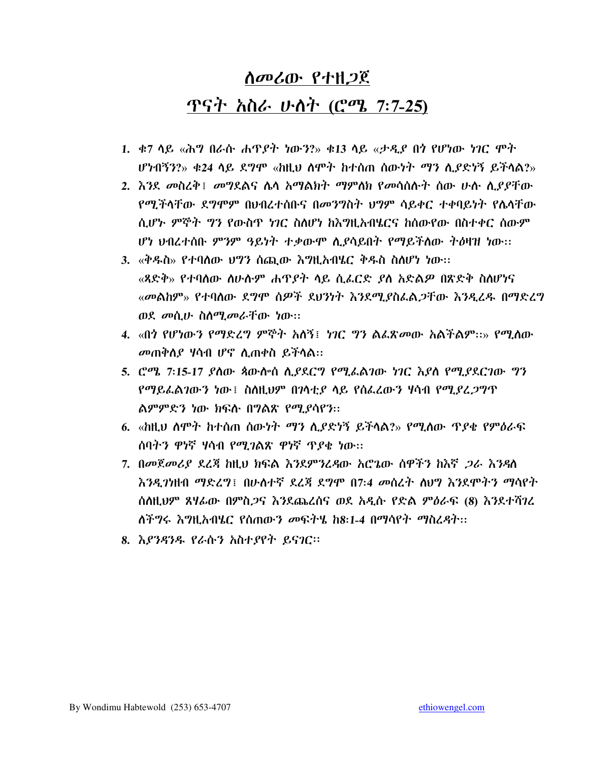# ሰመሪው የተዘጋጀ ጥናት *አስራ ሁለት (ሮሜ 7:7-25*)

- 1. ቁ7 ሳይ «ሕግ በራሱ ሐጥያት ነውን?» ቁ13 ሳይ «ታ*ዲ*ያ በ*ጎ* የሆነው ነገር ሞት ሆነብኝን?» ቀ24 ላይ ደግሞ «ከዚህ ስሞት ከተሰጠ ሰውነት *ማን* ሊያድነኝ ይችላል?»
- 2. እንደ መስረቅ፤ መግደልና ሌሳ አማልክት ማምለክ የመሳሰሱት ሰው ሁሱ ሲያያቸው የሚችላቸው ደግሞም በህብረተሰቡና በመንግስት ህግም ሳይቀር ተቀባይነት የሌላቸው ሲሆኑ ምኞት ግን የውስጥ ነገር ስለሆነ ከእግዚአብሄርና ከሰውየው በስተቀር ሰውም ሆነ ህብረተሰቡ ምንም ዓይነት ተቃውሞ ሲያሳይበት የማይችለው ትዕዛዝ ነው፡፡
- 3. «ቅዱስ» የተባለው ህግን ሰጪው እግዚአብሄር ቅዱስ ስለሆነ ነው። «ጻድቅ» የተባለው ስሁሱም ሐዋ*ያት* ላይ ሲፈርድ *ያ*ለ አድል*ዎ* በጽድቅ ስለሆነና «መልከም» የተባለው ደግሞ ሰዎች ደህንነት እንደሚያስፌል*ጋ*ቸው እንዲረዱ በማድረግ ወደ መሲሁ ስስሚመራቸው ነው።
- 4. «በጎ የሆነው*ን የማድረግ ምኞት አ*ለኝ፤ *ነገር ግን ል*ፌጽ*መ*ው አልችልም።» የሚለው መጠቅስያ ሃሳብ ሆኖ ሲጠቀስ ይችሳል፡፡
- 5. ሮሜ 7፡15-17 ያስው ጳውስ ስ.ይደርግ የሚፌልገው ነገር እያስ የሚያደርገው ግን የማይፌልገውን ነው፤ ስስዚህም በገሳቲያ ሳይ የሰፌረውን ዛሳብ የሚያረ*ጋ*ግጥ ልምምድን ነው ክፍሉ በግልጽ የሚያሳየን::
- 6. «ከዚህ ስሞት ከተሰጠ ሰውነት *ማን ሊያ*ድነኝ ይችላል?» የሚለው ጥ*ያ*ቄ የምዕራፍ ሰባትን ዋነኛ ሃሳብ የሚ*ገ*ልጽ ዋነኛ ጥያቂ ነው::
- 7. በመጀመሪያ ደረጃ ከዚህ ክፍል እንደምንረዳው አሮጌው ሰዋችን ከእኛ *ጋ*ራ እንዳለ እንዳጋነዘብ ማድረግ፤ በሁለተኛ ደረጃ ደግሞ በ7:4 መስረት ስህግ እንደሞትን ማሳየት ሰለዚህም ጸሃፊው በምስ*ጋ*ና እንደጨረሰና ወደ አዲሱ የድል ምዕራፍ (8) እንደተሻገረ ለችግሩ እግዚአብሄር የሰጠውን መፍትሄ ከ8:1-4 በማሳየት ማስረዳት፡፡
- 8. እያንዳንዱ የራሱን አስተያየት ይናገር፡፡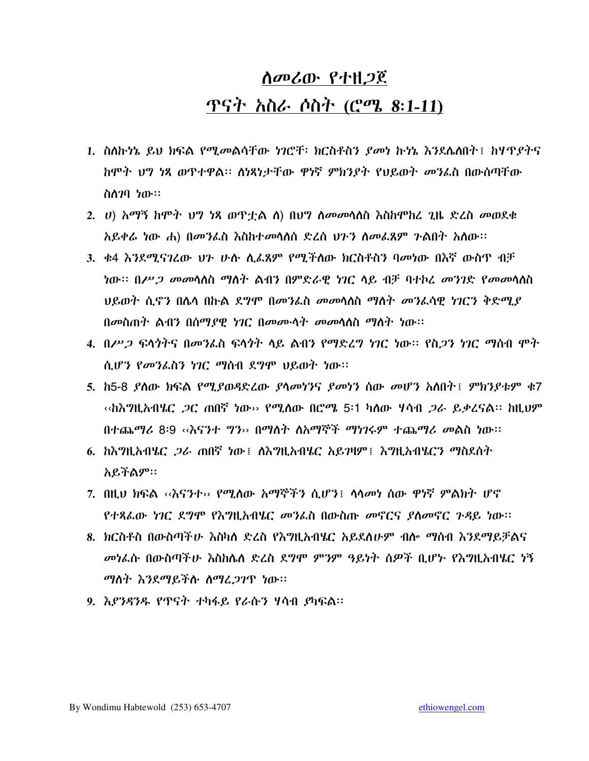# ሰመሪው የተዘጋጀ <u>ጥናት አስራ ሶስት (ሮሜ 8:1-11)</u>

- 1. ስለኩነኔ ይህ ክፍል የሚመልሳቸው ነገሮቸ፡ ክርስቶስን ያመነ ኩነኔ እንደሴለበት፤ ከሃጥያትና ከሞት ህግ ነጻ ወጥተዋል፡፡ ለነጻነታቸው ዋነኛ ምክንያት የህይወት መንፌስ በውስጣቸው ስስገባ ነው።
- 2. ሀ) አማኝ ከሞት ህግ ነጻ ወጥቷል ለ) በህግ ለመመሳለስ እስከሞከረ ጊዜ ድረስ መወደቁ አይቀሬ ነው ሐ) በመንፌስ እስከተመሳሰሰ ድረስ ሀንን ስመፌጸም ንልበተ አሰው፡፡
- 3. ቀ4 እንደሚናገረው ህን ሁሉ ሲፌጸም የሚችለው ክርስቶስን ባመነው በእኛ ውስጥ ብቻ *ነ*ው። በ*ሥጋ መመ*ሳለስ ማለት ልብን በምድራዊ ነገር ላይ ብቻ ባተኮፈ *መንገ*ድ የ*መመ*ሳለስ ህይወት ሲኖን በሴሳ በኩል ደግሞ በመንፌስ መመሳሰስ ማስት መንፌሳዊ ነገርን ቅድሚያ በመስጠት ልብን በሰማያዊ ነገር በመሙሳት መመሳሰስ ማስት ነው።
- 4. በሥ*ጋ* ፍላጎትና በመንፌስ ፍላጎት ላይ ልብን የማድረግ ነገር ነው። የስ*ጋ*ን ነገር ማሰብ ሞት ሲሆን የመንፌስን ነገር ማስብ ደግሞ ህይወት ነው።
- 5. ከ5-8 ያለው ክፍል የሚያወዳድረው ያሳመነንና ያመነን ሰው መሆን አለበት፤ ምክንያቱም ቁ7 ‹‹ክእግዚአብሄር *ጋ*ር ጠበኛ ነው›› የሚለው በሮሜ 5፡1 ካለው ሃሳብ *ጋራ ይቃ*ረናል፡፡ ከዚህም በተጨማሪ 8፡9 ‹‹እናንተ ግን›› በማለተ ለአማኞች ማነገሩም ተጨማሪ መልስ ነው፡፡
- 6. ከእግዚአብሄር *ጋራ* ጠበኛ ነው፤ ለእግዚአብሄር አይገዛም፤ እግዚአብሄርን ማስደሰት አይችልም።
- 7. በዚህ ክፍል ‹‹እናንተ›› የሚለው አማኞችን ሲሆን፤ ሳሳመነ ሰው ዋነኛ ምልክት ሆኖ የተጻፈው ነገር ደግሞ የእግዚአብሄር መንፌስ በውስጡ መኖርና ያስመኖር ጉዳይ ነው።
- 8. ክርስቶስ በውስጣችሁ እስካለ ድረስ የእግዚአብሄር አይደለሁም ብሎ ማሰብ እንደማይቻልና መነፌሱ በውስጣችሁ እስከሌለ ድረስ ደግሞ ምንም ዓይነት ሰዎች ቢሆኑ የእግዚአብሄር ነኝ *ማ*ስት እንደማይችሉ ስማፈ*ጋ*ገጥ ነው።
- 9. እ*ያንዳንዱ የ*ጥናት ተካፋይ የራሱን ሃሳብ *ያ*ካፍል፡፡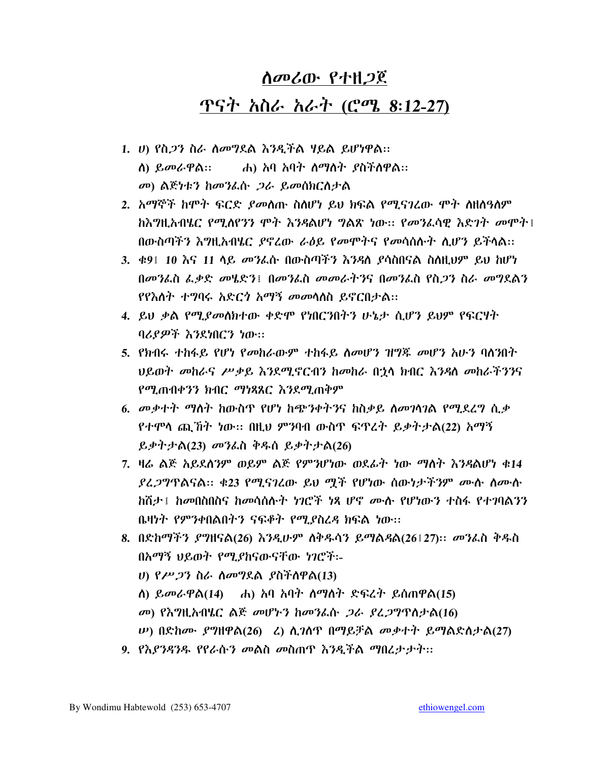# *ስመሪ*ው የተዘ*ጋ*ጀ ጥናት *አስራ አራት (*ሮሜ 8:12-27)

- 1. ሀ) የስ*ጋ*ን ስራ ስመግደል እንዲችል ሃይል ይሆነዋል:: .ሐ) አባ አባት *ስማስት ያ*ስችስዋል:: ስ) ይመራዋል። መ) ልጅነቱን ከመንፌሱ *ጋ*ራ ይመሰክርስታል
- 2. አማኞች ከሞት ፍርድ ያመስጡ ስስሆነ ይህ ክፍል የሚናገረው ሞት ስዘስዓስም ከእግዚአብሄር የሚለየንን ሞት እንዳልሆነ ግልጽ ነው፡፡ የመንፈሳዊ እድገት መሞት፤ በውስጣችን እግዚአብሄር ያኖረው ራዕይ የመሞትና የመሳሰሱት ሲሆን ይችላል፡፡
- 3. ቀ9፤ 10 እና 11 ላይ መንፌሱ በውስጣችን እንዳለ ያሳስበናል ስስዚህም ይህ ከሆነ በመንፌስ ፌቃድ መሄድን፤ በመንፌስ መመራትንና በመንፌስ የስጋን ስራ መግደልን የየእስት ተግባሩ አድር*ጎ* አማኝ መመሳሰስ ይኖርበታል።
- 4. ይህ ቃል የሚያመለክተው ቀድሞ የነበርንበትን ሁኔታ ሲሆን ይህም የፍርሃት ባሪያዎች እንደነበርን ነው።
- 5. የክብሩ ተከፋይ የሆነ የመከራውም ተከፋይ ስመሆን ዝግጁ መሆን አሁን ባሰንበት ህይወት መከራና ሥቃይ እንደሚኖርብን ከመከራ በኋላ ክብር እንዳለ መከራችንንና የሚጠብቀንን ክብር ማነጻጸር እንደሚጠቅም
- 6. መቃተት ማስት ከውስጥ የሆነ ከጭንቀትንና ከስቃይ ስመገሳገል የሚደረግ ሲቃ የተሞሳ ጪኸት ነው። በዚህ ምንባብ ውስጥ ፍጥረት ይቃትታል(22) አማኝ ይቃትታል(23) መንፌስ ቅዱስ ይቃትታል(26)
- 7. ዛሬ ልጅ አይደለንም ወይም ልጅ የምንሆነው ወደፊት ነው ማስት እንዳልሆነ ቁ14 ያፈጋግጥልናል። ቁ23 የሚናገረው ይህ ሟች የሆነው ሰውነታችንም ሙሱ ስሙሱ ክሽታ ፤ ከመበስበስና ከመሳሰሱት ነገሮች ነጻ ሆኖ ሙሉ የሆነውን ተስፋ የተገባልንን ቤዛነት የምንቀበልበትን ናፍቆት የሚያስረዳ ክፍል ነው፡፡
- 8. በድከማችን ያግዘናል(26) እንዲሁም ሰቅዱሳን ይማልዳል(26፤27):: መንፌስ ቅዱስ በአማኝ ህይወት የሚያከናውናቸው ነገሮች፡-ሀ) የሥ*ጋ*ን ስራ ስመግደል *ያ*ስችስዋል(13) መ) የእግዚአብሄር ልጅ መሆኑን ከመንፌሱ *ጋራ ያፈጋግ*ጥለታል(16) *Ψ*) በድከሙ *ያግ*ዘዋል(26) ሬ) ሲገለዋ በማይቻል መቃተት ይማልድስታል(27)
- 9. የእያንዳንዱ የየራሱን መልስ መስጠዋ እንዲችል ማበረታታት፡፡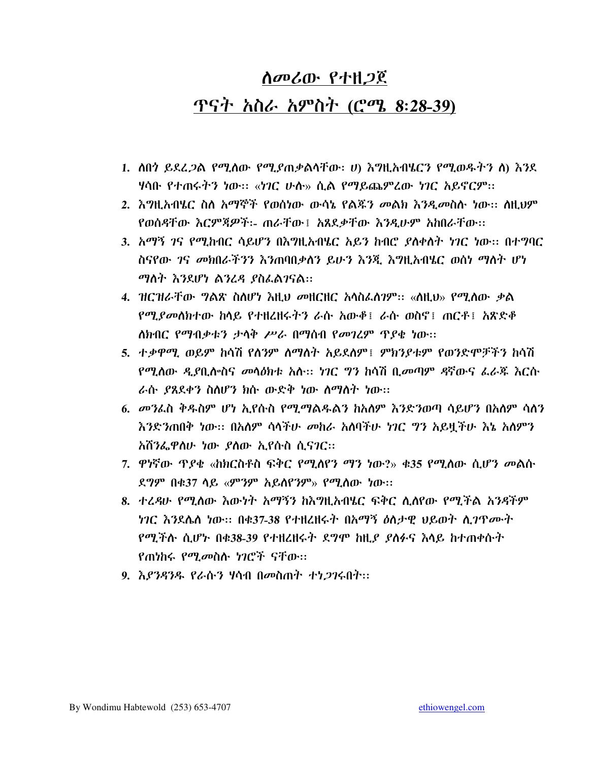## ሰመሪው የተዘጋጀ ጥናት አስራ አምስት (ሮሜ 8:28-39)

- 1. ስበጎ ይደረ*ጋ*ል የሚለው የሚያጠቃልሳቸው፡ ሀ) እግዚአብሄርን የሚወዱትን ስ) እንደ ሃሳቡ የተጠሩትን ነው። «ነገር ሁስ» ሲል የማይጨምረው ነገር አይኖርም።
- 2. እግዚአብሄር ስስ አማኞች የወሰነው ውሳኔ የልጁን መልክ እንዲመስሱ ነው። ስዚህም የወሰዳቸው እርምጃዎች፡- ጠራቸው፤ አጸደቃቸው እንዲሁም አከበራቸው፡፡
- 3. አማኝ ገና የሚከብር ሳይሆን በእግዚአብሄር አይን ከብሮ ያስቀስት ነገር ነው፡፡ በተግባር ስናየው *ገ*ና *መክ*በራችንን እንጠባበቃስን ይሁን እንጂ እግዚአብሄር ወስነ ማስት ሆነ ማስት እንደሆነ ልንረዳ ያስፌልገናል።
- 4.  $\pi$ ር ዝራቸው *ግ*ልጽ ስለሆነ እዚህ መዘርዘር አሳስፌስንም፡፡ «ስዚህ» የሚለው ቃል *የሚያመስክተ*ው ከሳይ የተዘረዘሩትን ራሱ አውቶ፤ ራሱ ወስኖ፤ ጠርቶ፤ አጽድቶ ለክብር የማብቃቱን ታሳቅ ሥራ በማሰብ የመገረም ጥያቄ ነው።
- 5. ተቃዋሚ ወይም ከሳሽ የሰንም ስማስት አይደስም፤ ምክንያቱም የወንድሞቻችን ከሳሽ የሚለው ዲያቢሎስና መላዕክቱ አሉ፡፡ ነገር ግን ከሳሽ ቢመጣም ዳኛውና ፌራጁ እርሱ ራሱ ያጸደቀን ስለሆን ክሱ ውድቅ ነው ስማስት ነው፡፡
- 6. መንፌስ ቅዱስም ሆነ ኢየሱስ የሚማልዱልን ከአለም እንድንወጣ ሳይሆን በአለም ሳለን እንድንጠበቅ ነው። በአለም ሳሳችሁ መከራ አለባችሁ ነገር ግን አይዟችሁ እኔ አለምን አሽንፌዋስሁ ነው ያስው ኢየሱስ ሲናገር።
- 7. ዋነኛው ጥያቄ «ከክርስቶስ ፍቅር የሚሰየን ማን ነው?» ቁ35 የሚሰው ሲሆን መልሱ ደ*ግም* በቁ37 ሳይ «ምንም አይስየንም» የሚሰው ነው።
- 8. ተረዳሁ የሚለው እውነት አማኝን ከእግዚአብሄር ፍቅር ሊለየው የሚችል አንዳችም *ነገር እን*ደሌለ ነው። በቁ37-38 የተዘረዘሩት በአማኝ ዕለታዊ ህይወት ሊ*ገ*ዋሙት የሚችሱ ሲሆኑ በቁ38-39 የተዘረዘሩት ደግሞ ከዚያ ያስፉና እሳይ ከተጠቀሱት የጠነከሩ የሚመስሉ ነገሮች ናቸው።
- 9. *እያንዳንዱ የራ*ሱ*ን ነ*ሳብ በመስጠት *ተነጋገ*ሩበት፡፡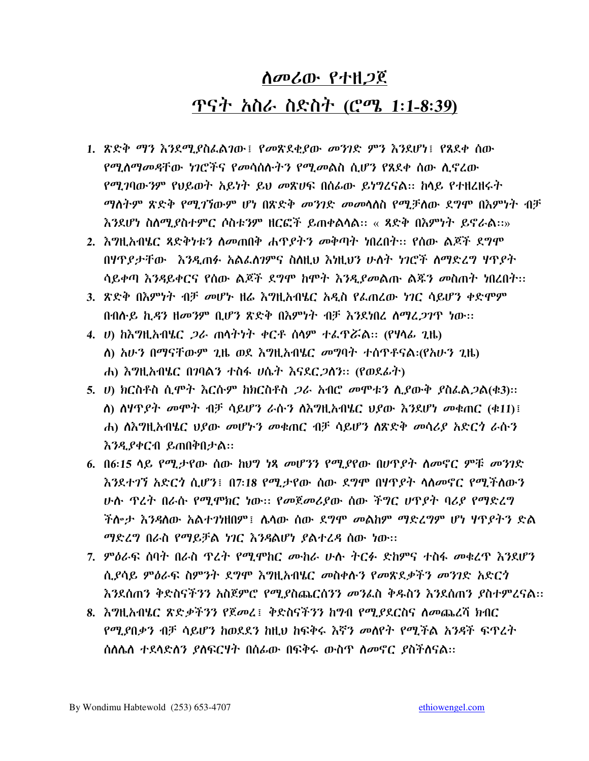# ሰመሪው የተዘጋጀ ጥናት አስራ ስድስት (ሮሜ 1:1-8:39)

- 1. ጽድቅ ማን እንደሚያስፌልገው፤ የመጽደቂያው መንገድ ምን እንደሆነ፤ የጸደቀ ሰው <u>የሚለማመዳቸው *ነገሮች*ና የመሳሰሉት*ን* የሚመልስ ሲሆን የጸደቀ ሰው ሊኖረው</u> የሚገባውንም የህይወት አይነት ይህ መጽሀፍ በሰፊው ይነግረናል። ከላይ የተዘረዘሩት *ማ*ስትም ጽድቅ የሚ*ገኘ*ውም ሆነ በጽድቅ *መንገ*ድ *መመ*ሳለስ የሚቻለው ደግሞ በእምነት ብቻ እንደሆነ ስለሚያስተምር ሶስቱንም ዘርፎች ይጠቀልሳል፡፡ « ጻድቅ በእምነት ይኖራል፡፡»
- 2. እግዚአብሄር ጻድቅነቱን ስመጠበቅ ሐጥያትን መቅጣት ነበረበተ፡፡ የሰው ልጆች ደግሞ በሃዋያታቸው እንዲጠፉ አልፌስገምና ስስዚህ እነዚህን ሁስት ነገሮች ስማድረግ ሃዋያት ሳይቀጣ እንዳይቀርና የሰው ልጆች ደግሞ ከሞት እንዲያመልጡ ልጁን መስጠት ነበረበት፡፡
- 3. ጽድቅ በእምነት ብቻ መሆኑ ዘሬ እግዚአብሄር አዲስ የፌጠረው ነገር ሳይሆን ቀድሞም በብሱይ ኪዳን ዘመንም ቢሆን ጽድቅ በእምነት ብቻ እንደነበረ ስማረ*ጋገ*ጥ ነው፡፡
- 4. ሀ) ከእግዚአብሄር *ጋ*ራ ጠሳትነት ቀርቶ ሰሳም ተፌዋሯል። (የሃሳፊ ጊዜ) ለ) አሁን በማናቸውም ጊዜ ወደ እግዚአብሄር መግባት ተሰዋቶናል፡(የአሁን ጊዜ) ሐ) እግዚአብሄር በገባልን ተስፋ ሀሴት እናደር*ጋ*ለን። (የወደፊት)
- 5. ሀ) ክርስቶስ ሲሞት እርሱም ከክርስቶስ *ጋ*ራ አብሮ መሞቱን ሲያውቅ ያስፌል*ጋ*ል(ቁ3):: ስ) ስዛጥያት መሞት ብቻ ሳይሆን ራሱን ስእግዚአብሄር ህያው እንደሆነ መቁጠር (ቁ11)፤ ሐ) ስእግዚአብሄር ህያው መሆኑን መቁጠር ብቻ ሳይሆን ስጽድቅ መሳሪያ አድርጎ ራሱን እንዲያቀርብ ይጠበቅበታል።
- 6. በ6:15 ሳይ የሚታየው ሰው ከህግ ነጻ መሆንን የሚያየው በሆዋያት ስመኖር ምቹ መንገድ እንደተገኘ አድርጎ ሲሆን፤ በ7፡18 የሚ.ታየው ሰው ደግሞ በሃዋደት ሳስመኖር የሚችስውን ሁሉ ዋረት በራሱ የሚሞክር ነው። የመጀመሪያው ሰው ችግር ሆዋያት ባሪያ የማድረግ ችሎታ እንዳለው አልተገነዘበም፤ ሌላው ሰው ደግሞ *መ*ልከም ማድረግም ሆነ **ሃ**ጥያትን ድል ማድረግ በራስ የማይቻል ነገር እንዳልሆነ ያልተረዳ ሰው ነው፡፡
- 7. ምዕራፍ ሰባት በራስ ዋረት የሚሞከር ሙከራ ሁሉ ትርፉ ድክምና ተስፋ መቁረጥ እንደሆን ሲያሳይ ምዕራፍ ስምንት ደግሞ እግዚአብሄር መስቀሱን የመጽደቃችን መንገድ አድርጎ እንደሰጠን ቅድስናችንን አስጀምሮ የሚደስጨርስንን መንፈስ ቅዱስን እንደሰጠን ያስተምረናል።
- 8. እግዚአብሄር ጽድቃችንን የጀመረ፤ ቅድስናችንን ከግብ የሚያደርስና ስመጨረሻ ክብር የሚያበቃን ብቻ ሳይሆን ከወደደን ከዚህ ከፍቅሩ እኛን መስየት የሚችል አንዳች ፍጥረት ስለሌለ ተደሳድለን ያለፍርሃት በሰፊው በፍቅሩ ውስጥ ለመኖር ያስችለናል::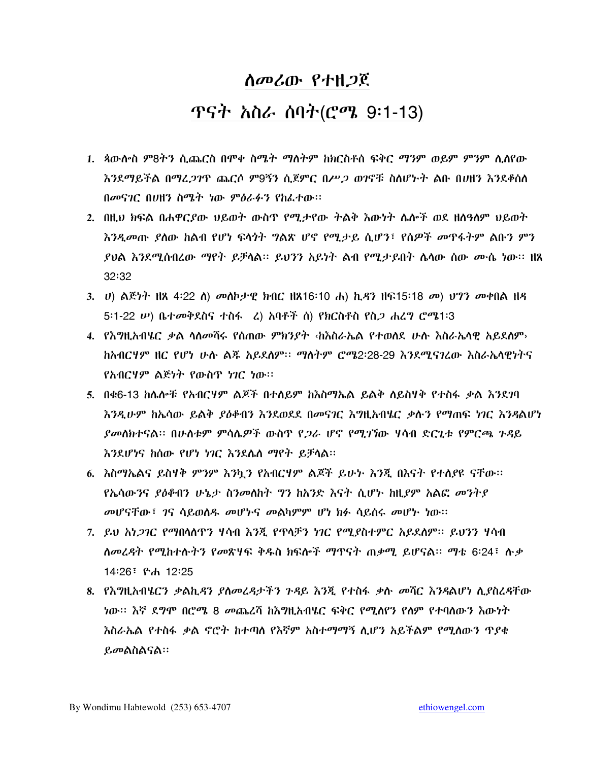#### <u>ጥናት አስራ ሰባት(ሮሜ 9፡1-13)</u>

- 1. ጳውሎስ ም8ትን ሲጨርስ በሞቀ ስሜት ማለትም ከክርስቶሰ ፍቅር ማንም ወይም ምንም ሲሰየው እንደማይችል በማፈ*ጋገ*ዋ ጨርሶ ም9ኝን ሲጀምር በሥ*ጋ ወገ*ኖቹ ስለሆኑት ልቡ በሀዘን እንደቆሰለ በመናገር በሀዘን ስሜት ነው ምዕራፉን የከፌተው፡፡
- 2. በዚህ ክፍል በሐዋርያው ህይወት ውስጥ የሚታየው ትልቅ እውነት ሴሎች ወደ ዘስዓስም ህይወት እንዲመጡ ያስው ከልብ የሆነ ፍላጎት ግልጽ ሆኖ የሚታይ ሲሆን፣ የሰዎች መዋፋትም ልቡን ምን  $32:32$
- 3. U) ልጅነት ዘጸ 4፡22 ለ) መለኮታዊ ክብር ዘጸ16፡10 ሐ) ኪ*ዳ*ን ዘፍ15፡18 መ) ህግን መቀበል ዘዳ 5:1-22  $\nu$ ) ቤተመቅደስና ተስፋ (ፈ) አባቶች ሰ) የክርስቶስ የስ*ጋ* ሐረግ ሮሜ1፡3
- 4. የእግዚአብሄር ቃል ላስመሻሩ የሰጠው ምክንያት ‹ከእስራኤል የተወሰደ ሁስ እስራኤሳዊ አይደለም› <u>ከአብርሃም ዘር የሆነ ሁሉ ልጁ አይደለም፡፡ ማስትም ሮሜ2፡28-29 እንደሚናገረው እስራኤሳዊነትና</u> የአብርሃም ልጅነት የውስጥ ነገር ነው።
- 5. በቁ6-13 ከሌሎቹ የአብርሃም ልጆች በተለይም ከእስማኤል ይልቅ ለይስሃቅ የተስፋ ቃል እንደገባ እንዲሁም ከኤሳው ይልቅ ያዕቆብን እንደወደደ በመናገር እግዚአብሄር ቃሉን የማጠፍ ነገር እንዳልሆነ *ያመ*ለክተናል። በሁለቱም ምሳሌ*ዎ*ች ውስዋ የ*ጋ*ራ ሆኖ የሚገኘው ሃሳብ ድርጊቱ የምርጫ ንዳይ እንደሆነና ከሰው የሆነ ነገር እንደሴስ ማየት ይቻሳል።
- 6. እስማኤልና ይስሃቅ ምንም እንኳን የአብርሃም ልጆች ይሁኑ እንጂ በእናት የተለያዩ ናቸው። የኤሳውንና *ያዕቆ*ብን ሁኔታ ስንመለከት **ግን ከአንድ እናት ሲሆ**ኑ ከዚያም አልፎ *መን*ትያ መሆናቸው፣ ገና ሳይወሰዱ መሆኑና መልካምም ሆነ ክፉ ሳይሰሩ መሆኑ ነው።
- 7. ይህ አነ*ጋገ*ር የማበሳለጥን ሃሳብ እንጂ የጥላቻን ነገር የሚያስተምር አይደለም። ይህንን ሃሳብ ለመረዳት የሚከተሉትን የመጽሃፍ ቅዱስ ክፍሎች ማጥናት ጠቃሚ ይሆናል። ማቴ 6፡24፣ ሉቃ 14:26 ፣ ዮሐ 12:25
- 8. የእግዚአብሄርን ቃልኪዳን ያለመረዳታችን ጉዳይ እንጂ የተስፋ ቃሉ መሻር እንዳልሆነ ሲያስረዳቸው ነው፡፡ እኛ ደግሞ በሮሜ 8 መጨረሻ ከእግዚአብሄር ፍቅር የሚሰየን የሰም የተባሰውን እውነት እስራኤል የተስፋ ቃል ኖሮት ከተጣስ የእኛም አስተማማኝ ሊሆን አይችልም የሚለውን ጥያቂ ይመልስልናል።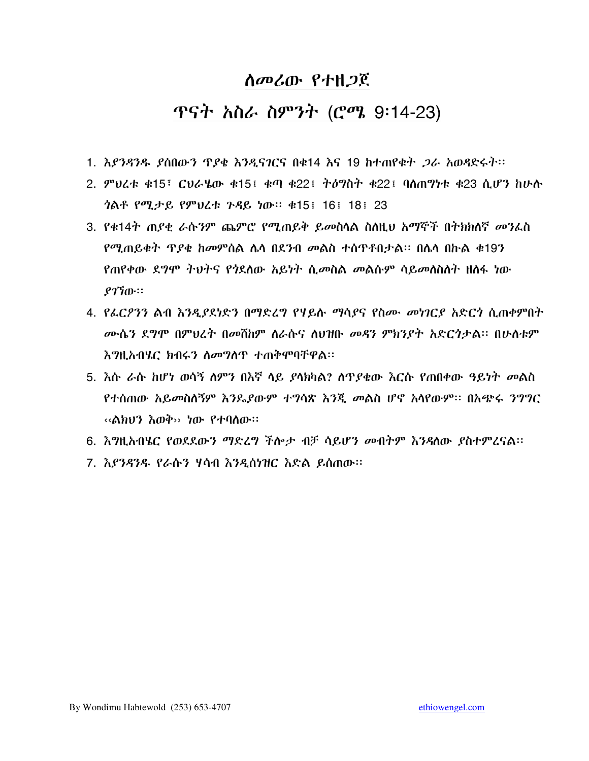#### <u>ጥናት አስራ ስምንት (ሮሜ 9፡14-23)</u>

- 1. እ*ያንዳንዱ ያ*ሰበው*ን ጥያቄ እንዲናገ*ርና በቁ14 እና 19 ከተጠየቁ*ት ጋራ* አወዳድሩት።
- 2. ምህረቱ ቁ15፣ ርህራሄው ቁ15፤ ቁጣ ቁ22፤ ትዕግስት ቁ22፤ ባስጠግነቱ ቁ23 ሲሆን ከሁስ *ጎ*ልቶ የሚታይ የምህረቱ ጉዳይ ነው። ቁ15! 16! 18! 23
- 3. የቁ14ት ጠያቂ ራሱንም ጨምሮ የሚጠይቅ ይመስሳል ስስዚህ አማኞች በትክክለኛ መንፌስ የሚጠይቁት ጥያቄ ከመምሰል ሴሳ በደንብ መልስ ተሰጥቶበታል። በሴሳ በኩል ቁ19ን የጠየቀው ደግሞ ትህትና የጎደለው አይነት ሲመስል መልሱም ሳይመለስለት ዘለፋ ነው  $9770...$
- 4. የፌርዖንን ልብ እንዲያደነድን በማድረግ የሃይሉ ማሳያና የስሙ መነገርያ አድርጎ ሲጠቀምበት ሙሴን ደግሞ በምህረት በመሸከም ስራሱና ስህዝቡ መዳን ምክንያት አድርጎታል፡፡ በሁስቱም እግዚአብሄር ክብሩን ለመግለጥ ተጠቅሞባቸዋል፡፡
- 5. እሱ ራሱ ከሆነ ወሳኝ ስምን በእኛ ላይ ያሳክካል? ሰጥያቄው እርሱ የጠበቀው ዓይነት መልስ የተሰጠው አይ*መ*ስለኝም እንዴያውም ተ**ግሳጽ እንጂ መልስ ሆኖ አ**ሳየውም። በአጭሩ *ንግግ*ር ‹‹ልክህን እወቅ›› ነው የተባለው።
- 6. እግዚአብሄር የወደደውን ማድረግ ችሎታ ብቻ ሳይሆን መብትም እንዳለው ያስተምረናል፡፡
- 7. እያንዳንዱ የራሱን ሃሳብ እንዲሰነዝር እድል ይሰጠው።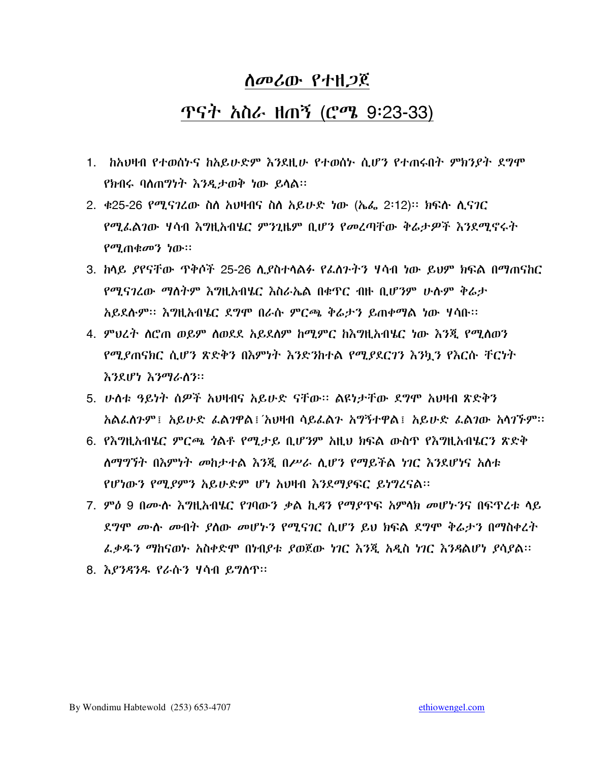#### <u>ሰመሪው የ</u>ተዘ*ጋ*ጀ

## ጥናት አስራ ዘ<u>ጠኝ</u> (ሮሜ 9:23-33)

- 1. ከአህዛብ የተወሰኮና ከአይሁድም እንደዚሁ የተወሰኮ ሲሆን የተጠሩበት ምክንያት ደግሞ የክብሩ ባለጠግነት እንዲታወቅ ነው ይሳል፡፡
- 2. ቀ25-26 የሚናገረው ስስ አህዛብና ስስ አይሁድ ነው (ኤፌ 2፡12)፡፡ ክፍሱ ሲናገር የሚፌልገው ሃሳብ እግዚአብሄር ምንጊዜም ቢሆን የመረጣቸው ቅሬታዎች እንደሚኖሩት የሚጠቁመን ነው።
- የሚናገረው ማስትም እግዚአብሄር እስራኤል በቁዋር ብዙ ቢሆንም ሁሱም ቅሬታ አይደሱም፡፡ እግዚአብሄር ደግሞ በራሱ ምርጫ ቅሬታን ይጠቀማል ነው ሃሳቡ፡፡
- 4. ምህረት ስሮጠ ወይም ስወደደ አይደስም ከሚምር ከእግዚአብሄር ነው እንጂ የሚስወን የሚደጠናክር ሲሆን ጽድቅን በእምነት እንድንከተል የሚደደርገን እንኳን የእርሱ ቸርነት እንደሆነ እንማራስን።
- 5. ሁለቱ ዓይነት ሰዎች አህዛብና አይሁድ ናቸው፡፡ ልዩነታቸው ደግሞ አህዛብ ጽድቅን አልፌስንም፤ አይሁድ ፌልንዋል፤ አህዛብ ሳይፌልን አግኝተዋል፤ አይሁድ ፌልንው አሳንኙም።
- 6. የእግዚአብሄር ምርጫ *ጎ*ልቶ የሚታይ ቢሆንም አዚህ ክፍል ውስጥ የእግዚአብሄርን ጽድቅ ለማግኘት በእምነት መከታተል እንጂ በሥራ ሲሆን የማይችል ነገር እንደሆነና አለቱ የሆነውን የሚያምን አይሁድም ሆነ አህዛብ እንደማያፍር ይነግረናል፡፡
- 7. ምዕ 9 በሙሉ እግዚአብሄር የገባውን ቃል ኪዳን የማደጥፍ አምላክ መሆኑንና በፍጥረቱ ላይ ደግሞ ሙሉ መብት ያለው መሆኑን የሚናገር ሲሆን ይህ ክፍል ደግሞ ቅሬታን በማስቀረት ፌቃዱን ማከናወኮ አስቀድሞ በነብያቱ ያወጀው ነገር እንጂ አዲስ ነገር እንዳልሆነ ያሳያል፡፡
- 8. እያንዳንዱ የራሱን ሃሳብ ይግለጥ።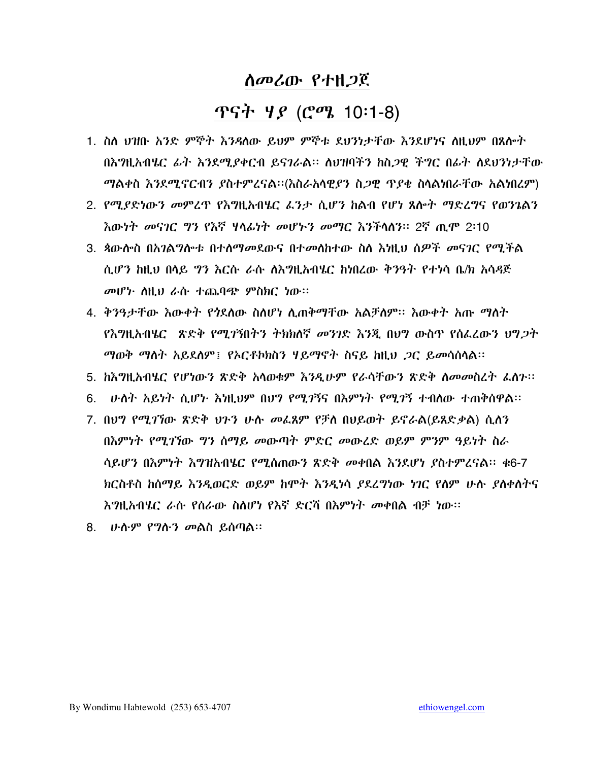#### <u>ጥናት ሃይ (ሮሜ 10:1-8)</u>

- 1. ስስ ህዝቡ አንድ ምኞት እንዳስው ይህም ምኞቱ ደህንነታቸው እንደሆነና ስዚህም በጸሎት በእግዚአብሄር ፊት እንደሚደቀርብ ይናገራል። ለህዝባችን ከስ*ጋ*ዊ ችግር በፊት ለደህንነታቸው ማልቀስ እንደሚኖርብን ያስተምረናል፡፡(እስራአሳዊያን ስጋዊ ጥያቄ ስሳልነበራቸው አልነበረም)
- 2. የሚያድነውን መምረጥ የእግዚአብሄር ፌንታ ሲሆን ከልብ የሆነ ጸሎት ማድረግና የወንጌልን *እ*ውነት መናገር ግን የእኛ ዛላፊነት መሆኑን መማር እንችላለን። 2ኛ ጢሞ 2፡10
- 3. ጳውሎስ በአንልግሎቱ በተለማመደውና በተመለከተው ስለ እነዚህ ሰዎች መናንር የሚችል ሲሆን ከዚህ በሳይ ግን እርሱ ራሱ ለእግዚአብሄር ከነበረው ቅንዓት የተነሳ ቤ/ክ አሳዳጅ መሆኑ ስዚህ ራሱ ተጨባጭ ምስክር ነው።
- 4. ቅንዓታቸው እውቀት የጎደለው ስለሆነ ሲጠቅማቸው አልቻለም፡፡ እውቀት አጡ ማለት <u>የእግዚአብሄር «ጽድቅ የሚገኝበትን ትክክለኛ መንገድ እንጂ በህግ ውስጥ የስፌረውን ህግጋት</u> *ጣ*ወቅ ማለት አይደለም፤ የአርቶክክስን ሃይማኖት ስናይ ከዚህ *ጋ*ር ይ*መ*ሳሰላል።
- 5. ከእግዚአብሄር የሆነውን ጽድቅ አሳወቁም እንዲሁም የራሳቸውን ጽድቅ ስመመስረት ፈስን።
- ሁለት አይነት ሲሆኑ እነዚህም በህግ የሚገኝና በእምነት የሚገኝ ተብለው ተጠቅሰዋል፡፡ 6. -
- 7. በህግ የሚገኘው ጽድቅ ህጉን ሁስ መፌጸም የቻስ በሀይወት ይኖራል(ይጸድቃል) ሲስን በእምነት የሚገኘው ግን ሰማይ መውጣት ምድር መውረድ ወይም ምንም ዓይነት ስራ ሳይሆን በእምነት እግዝአብሄር የሚሰጠውን ጽድቅ መቀበል እንደሆነ ያስተምረናል፡፡ ቁ6-7 ክርስቶስ ከሰማይ እንዲወርድ ወይም ከሞት እንዲነሳ ያደረግነው ነገር የስም ሁሱ ያስቀስትና እንዘ አብሄር ራሱ የሰራው ስለሆነ የእኛ ድርሽ በእምነት መቀበል ብቻ ነው።
- 8. ሁስም የግስን መልስ ይሰጣል።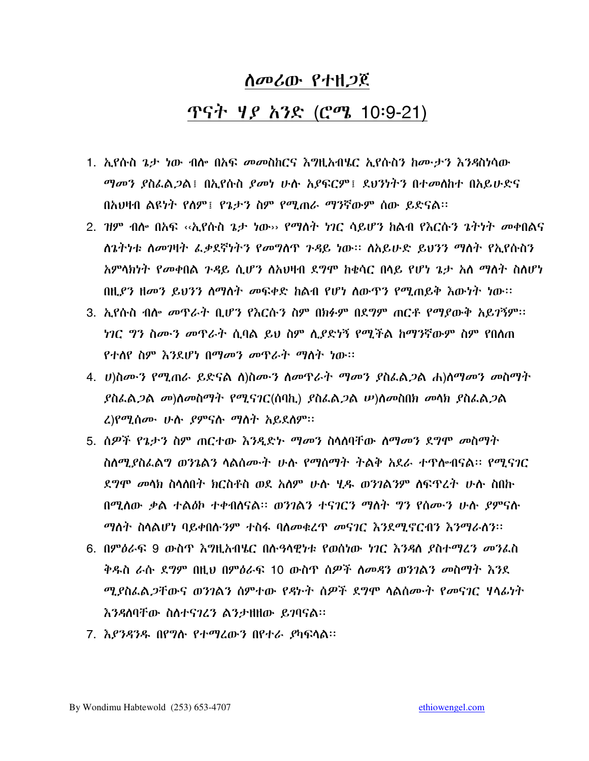# <u>ሰመሪው የ</u>ተዘ*ጋ*ጀ <u>ጥናት ሃይ አንድ (ሮሜ 10:9-21)</u>

- 1. ኢየሱስ ጌታ ነው ብሎ በአፍ መመስከርና እግዚአብሄር ኢየሱስን ከሙታን እንዳስነሳው *ማመን ያ*ስፌል*ጋ*ል፤ በኢየሱስ *ያመነ* ሁሉ አያፍርም፤ ደህንነትን በተመስከተ በአይሁድና በአህዛብ ልዩነት የስም፤ የጌታን ስም የሚጠራ ማንኛውም ሰው ይድናል።
- 2. ዝም ብሎ በአፍ ‹‹ኢየሱስ ኔታ ነው›› የማለት *ነገ*ር ሳይሆን ከልብ የእርሱን ኔትነት መቀበልና ለጌትነቱ ስመገዛት ፌቃደኛነትን የመግስጥ ጉዳይ ነው። ስአይሁድ ይህንን ማስት የኢየሱስን አምላክነት የመቀበል ጉዳይ ሲሆን ስአህዛብ ደግሞ ከቂሳር በሳይ የሆነ ጌታ አለ ማስት ስስሆነ በዚያን ዘመን ይህንን ስማስት መፍቀድ ከልብ የሆነ ስውዋን የሚጠይቅ እውነት ነው።
- 3. ኢየሱስ ብሎ መጥራት ቢሆን የእርሱን ስም በክፉም በደግም ጠርቶ የማያውቅ አይገኝም፡፡ *ነገር ግን ስሙን መ*ዋራት ሲባል ይህ ስም ሲያድነኝ የሚችል ከማንኛውም ስም የበሰጠ <u>የተለየ ስም እንደሆነ በማመን መጥራት ማስት ነው።</u>
- 4. ሀ)ስሙን የሚጠራ ይድናል ለ)ስሙን ስመዋራት ማመን ያስፌል*ጋ*ል ሐ)ስማመን መስማት  $\beta$ ስፌል $\beta$ ል መ)ለመስማት የሚናገር(ሰባኪ)  $\beta$ ስፌል $\beta$ ል  $\psi$ )ለመስበክ መላክ  $\beta$ ስፌል $\beta$ ል *<u>ረ)የሚሰሙ ሁሉ ያምናሉ ማስት አይደስም።</u>*
- 5. ሰዎች የኔታን ስም ጠርተው እንዲድኑ ማመን ስላሰባቸው ስማመን ደግሞ መስማት ስስሚያስፌልግ ወንጌልን ሳልሰሙት ሁሉ የማሰማት ትልቅ አደራ ተዋሎብናል፡፡ የሚናገር ደ*ግሞ መ*ሳክ ስሳለበተ ክርስቶስ ወደ አለም ሁሉ ሂዱ ወንገልንም ለፍዋረት ሁሉ ስበኩ በሚለው ቃል ተልዕኮ ተቀብለናል። ወንገልን ተናገርን ማለት ግን የሰሙን ሁሉ ያምናሉ ማስት ስላልሆነ ባይቀበሱንም ተስፋ ባስመቁረጥ መናገር እንደሚኖርብን እንማራስን፡፡
- 6. በምዕራፍ 9 ውስጥ እግዚአብሄር በሱዓላዊነቱ የወሰነው ነገር እንዳለ ያስተማረን መንፌስ ቅዱስ ራሱ ደግም በዚህ በምዕራፍ 10 ውስዋ ሰዎች ስመዳን ወንገልን መስማት እንደ *ሚያ*ስፌል*ጋ*ቸውና ወንገልን ስምተው የዳኮት ስዎች ደግሞ ሳልስሙት የመናገር ሃሳፊነት እንዳለባቸው ስለተናገረን ልንታዘዘው ይገባናል።
- 7. እያንዳንዱ በየግሉ የተማረውን በየተራ ያካፍላል፡፡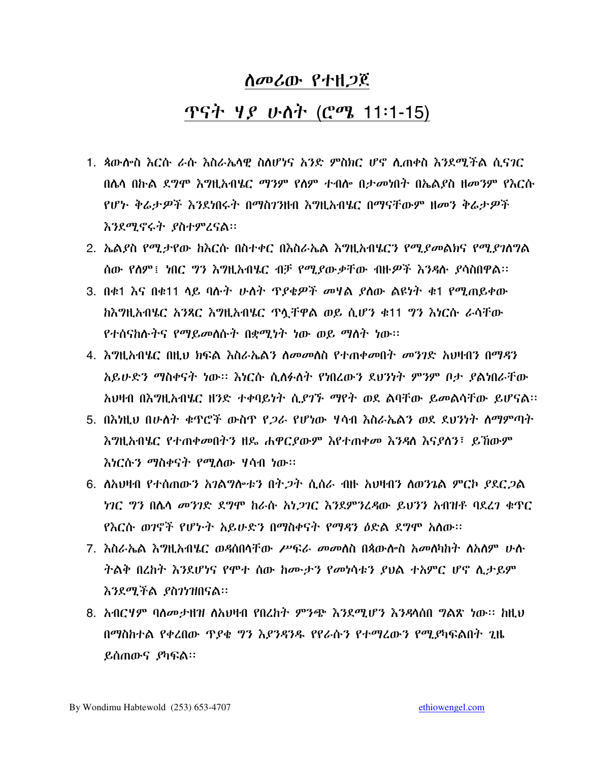#### <u>ጥናት ሃይ ሁለት (ሮሜ 11፡1-15)</u>

- 1. ጳውሎስ እርሱ ራሱ እስራኤሳዊ ስለሆነና አንድ ምስክር ሆኖ ሊጠቀስ እንደሚችል ሲናገር በሴሳ በኩል ደግሞ እግዚአብሄር ማንም የስም ተብሎ በታመነበት በኤልያስ ዘመንም የእርሱ የሆኑ ቅሬታዎች እንደነበሩት በማስገንዘብ እግዚአብሄር በማናቸውም ዘመን ቅሬታዎች እንደሚኖሩት ያስተምረናል፡፡
- 2. ኤልያስ የሚታየው ከእርሱ በስተቀር በእስራኤል እግዚአብሄርን የሚያመልክና የሚያገለግል ሰው የሰም፤ ነበር ግን እግዚአብሄር ብቻ የሚያውቃቸው ብዙዎች እንዳሉ ያሳስበዋል፡፡
- 3. በቁ1 እና በቁ11 ሳይ ባሱት ሁለት ጥያቂዎች መሃል ያሰው ልዩነት ቁ1 የሚጠይቀው ክእግዚአብሄር አንጻር እግዚአብሄር ጥሏቸዋል ወይ ሲሆን ቁ11 ግን እነርሱ ራሳቸው የተሰናከሉትና የማይመስሱት በቋሚነት ነው ወይ ማስት ነው።
- 4. እግዚአብሄር በዚህ ክፍል እስራኤልን ለመመለስ የተጠቀመበት መንገድ አህዛብን በማዳን አይሁድን ማስቀናት ነው። እነርሱ ሲለፉለት የነበረውን ደህንነት ምንም ቦታ ያልነበራቸው አህዛብ በእግዚአብሄር ዘንድ ተቀባይነት ሲያገኙ ማየት ወደ ልባቸው ይመልሳቸው ይሆናል፡፡
- 5. በእነዚህ በሁለት ቁጥሮች ውስጥ የ*ጋራ* የሆነው ሃሳብ እስራኤልን ወደ ደህንነት ለማምጣት እግዚአብሄር የተጠቀመበትን ዘዴ ሐዋርያውም እየተጠቀመ እንዳለ እናያለን፣ ይኸውም *እነ*ርሱ*ን ማ*ስቀናት የሚለው ሃሳብ ነው።
- 6. ለአህዛብ የተሰጠውን አገልግሎቱን በት,ጋት ሲሰራ ብዙ አህዛብን ለወንጌል ምርኮ ያደርጋል *ነገር ግን* በሌላ *መንገ*ድ ደግሞ ከራሱ *አነጋገር እን*ደምንረዳው ይህንን አብዝቶ ባደረገ ቁጥር <u>የእርሱ ወገኖች የሆኑት አይሁድን በማስቀናት የማዳን ዕድል ደግሞ አለው፡፡</u>
- 7. እስራኤል እግዚአብሄር ወዳስበሳቸው ሥፍራ መመሰስ በጳውስ ስ አመሰካከት ስአለም ሁስ ትልቅ በረከት እንደሆነና የሞተ ሰው ከሙታን የመነሳቱን ያህል ተአምር ሆኖ ሲታይም እንደሚችል ያስንነዝበናል።
- 8. አብርሃም ባለመታዘዝ ለአህዛብ የበረከት ምንጭ እንደሚሆን እንዳላሰበ ግልጽ ነው፡፡ ከዚህ በማስከተል የቀረበው ጥያቄ ግን እያንዳንዱ የየራሱን የተማረውን የሚያካፍልበት ጊዜ ይሰጠውና ያካፍል።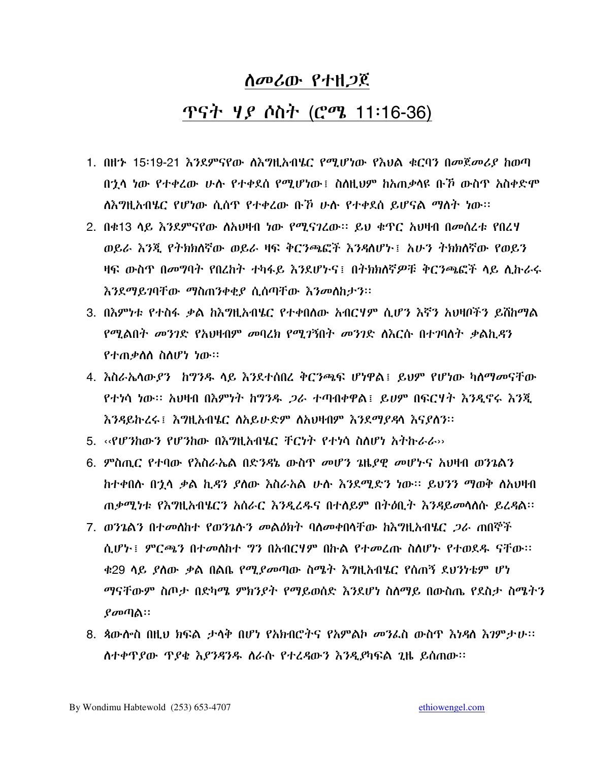## ጥናት *ዛያ ሶስት (ሮሜ 11*:16-36)

- 1. በዘ'ኦ 15፡19-21 እንደምናየው ለእግዚአብሄር የሚሆነው የእህል ቁርባን በመጀመሪያ ከወጣ በኋላ ነው የተቀረው ሁሱ የተቀደሰ የሚሆነው፤ ስስዚህም ከአጠቃሳዩ ቡኾ ውስጥ አስቀድሞ ለእግዚአብሄር የሆነው ሲሰዋ የተቀረው ቡኾ ሁሉ የተቀደሰ ይሆናል ማለት ነው።
- 2. በቀ13 ሳይ እንደምናየው ስአህዛብ ነው የሚናገረው። ይህ ቁዋር አህዛብ በመሰረቱ የበረሃ ወይራ እንጂ የተክክለኛው ወይራ ዛፍ ቅርንጫፎች እንዳለሆኑ፤ አሁን ተክክለኛው የወይን ዛፍ ውስዋ በመግባት የበረከት ተካፋይ እንደሆኑና፤ በትክክለኛዎቹ ቅርንጫፎች ላይ ሊኩራሩ እንደማይገባቸው ማስጠንቀቂያ ሲሰጣቸው እንመለከታን፡፡
- 3. በእምነቱ የተስፋ ቃል ከእግዚአብሄር የተቀበለው አብርሃም ሲሆን እኛን አህዛቦችን ይሸከማል የሚልበት መንገድ የአህዛብም መባረክ የሚገኝበት መንገድ ስእርሱ በተገባለት ቃልኪዳን የተጠቃስስ ስስሆነ ነው።
- 4. እስራኤሳውያን ከግንዱ ሳይ እንደተሰበረ ቅርንጫፍ ሆነዋል፤ ይህም የሆነው ካለማመናቸው የተነሳ ነው። አህዛብ በእምነት ከግንዱ *ጋ*ራ ተጣብቀዋል፤ ይሀም በፍርሃት እንዲኖሩ እንጂ እንዳይኩረሩ ፣ እግዚአብሄር ስአይሁድም ስአህዛብም እንደማያዳሳ እናያስን።
- 5. ‹‹የሆንክውን የሆንክው በእግዚአብሄር ቸርንት የተነሳ ስስሆነ አትኩራራ››
- 6. *ም*ስጢር የተባው የእስራኤል በድንዳኔ ውስጥ *መ*ሆን *ጌ*ዜ*ያዊ መሆኑ*ና አህዛብ ወንጌልን ከተቀበሱ በኂሳ ቃል ኪዳን ያሰው እስራአል ሁሱ እንደሚድን ነው፡፡ ይህንን ማወቅ ለአህዛብ ጠቃሚነቱ የእግዚአብሄርን አስራር እንዲረዱና በተሰይም በተዕቢተ እንዳይመሳሰሱ ይረዳል፡፡
- 7. ወንጌልን በተመለከተ የወንጌሱን መልዕክት ባለመቀበሳቸው ከእግዚአብሄር *ጋራ* ጠበኞች ሲሆኑ፤ ምርጫን በተመስከተ ግን በአብርሃም በኩል የተመረጡ ስስሆኑ የተወደዱ ናቸው። <u>ቁ29 ሳይ ያስው ቃል በልቤ የሚያመጣው ስሜት እግዚአብሄር የሰጠኝ ደህንነቴም ሆነ</u> ማናቸውም ስጦታ በድካሜ ምክንያት የማይወሰድ እንደሆነ ስለማይ በውስጤ የደስታ ስሜትን  $\mathbf{g}$ መጣል።
- 8. ጳውሎስ በዚህ ክፍል ታላቅ በሆነ የአክብሮትና የአምልኮ መንፌስ ውስጥ እነዳስ እገምታሁ፡፡ ስተቀዋያው ዋያቄ እያንዳንዱ ስራሱ የተረዳውን እንዲያካፍል ጊዜ ይሰጠው።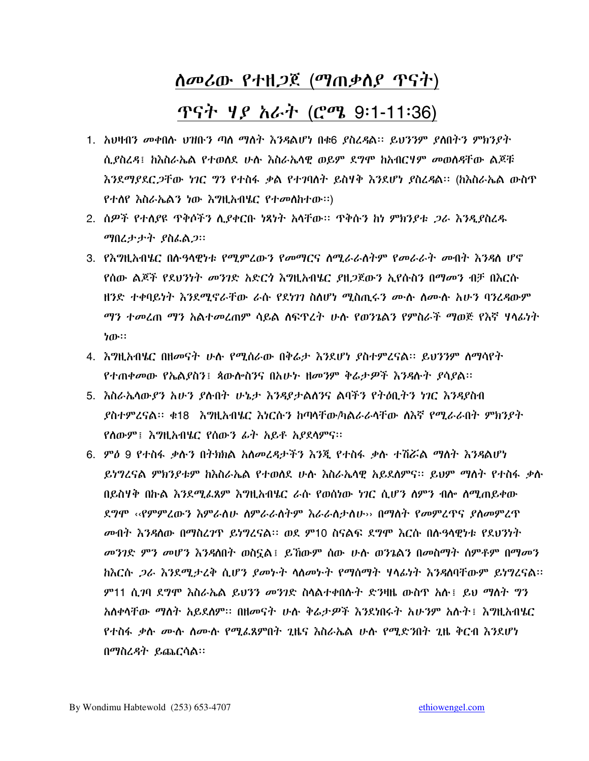#### <u>ለመሪው የተዘ*ጋ*ጀ (ማጠቃለ*ያ* ጥናት)</u>

## ጥናት *ዛያ አራት (*ሮሜ 9:1-11:36)

- 1. አህዛብን መቀበሱ ህዝቡን ጣለ ማለት እንዳልሆነ በቁ6 ያስረዳል፡፡ ይህንንም ያለበትን ምክንያት ሲያስረዳ፤ ከእስራኤል የተወሰደ ሁሉ እስራኤሳዊ ወይም ደግሞ ከአብርሃም መወሰዳቸው ልጆቹ እንደማያደር*ጋ*ቸው ነገር ግን የተስፋ ቃል የተገባለት ይስሃቅ እንደሆነ ያስረዳል። (ከእስራኤል ውስጥ የተሰየ እስራኤልን ነው እግዚአብሄር የተመሰከተው።)
- 2. ሰዎች የተሰያዩ ዋቅሶችን ሲያቀርቡ ነጻነት አሳቸው። ዋቅሱን ከነ ምክንያቱ *ጋራ እንዲ*ያስረዱ *ማ*በረታታት ያስፌል*ጋ*።
- 3. የእግዚአብሄር በሱዓሳዊነቱ የሚምረውን የመማርና ስሚራራስትም የመራራት መብት እንዳስ ሆኖ <u>የሰው ልጆች የደህንነት መንገድ አድርጎ እግዚአብሄር ያዘጋጀውን ኢየሱስን በማመን ብቻ በእርሱ</u> ዘንድ ተቀባይነት እንደሚኖራቸው ራሱ የደነገን ስለሆነ ሚስጢሩን ሙሉ ስሙሉ አሁን ባንሬዳውም *ማን ተመ*ረጠ ማን አልተመረጠም ሳይል ሰፍጥረት ሁሉ የወንጌልን የምስራች ማወጅ የእኛ ሃሳፊነት ነው።
- 4. እግዚአብሄር በዘመናት ሁሉ የሚሰራው በቅራታ እንደሆነ ያስተምረናል፡፡ ይህንንም ስማሳየት የተጠቀመው የኤልደስን፤ ጳውሎስንና በአሁኑ ዘመንም ቅሬታዎች እንዳሉት ያሳደል።
- 5. እስራኤሳውደን አሁን ደሱበት ሁኔታ እንዳደታልሰንና ልባችን የትዕቢትን ነገር እንዳደስብ ያስተምረናል። ቁ18 እግዚአብሄር እነርሱን ከጣሳቸው/ካልራራሳቸው ለእኛ የሚራራበት ምክንያት የስውም ፣ እግዚአብሄር የሰውን ፊት አይቶ አያደሳምና።
- 6. ምዕ 9 የተስፋ ቃሱን በትክክል አስመረዳታችን እንጂ የተስፋ ቃሱ ተሽሯል ማስት እንዳልሆነ ይነግረናል ምክንያቱም ከእስራኤል የተወሰደ ሁሱ እስራኤሳዊ አይደሰምና፡፡ ይህም ማስት የተስፋ ቃሉ በይስሃቅ በኩል እንደሚፌጸም እግዚአብሄር ራሱ የወሰነው ነገር ሲሆን ስምን ብሎ ስሚጠይቀው ደግሞ ‹‹የምምሬውን እምራስሁ ስምራራስትም እራራስታስሁ›› በማስት የመምረዋና ያስመምረጥ *መ*ብት እንዳለው በማስረ*ገ*ዋ ይነግረናል። ወደ ም10 ስናልፍ ደግሞ እርሱ በሱዓላዊነቱ የደህንነት *መንገ*ድ *ምን መሆን እንዳ*ለበት ወስኗል፤ ይኸውም ሰው ሁሉ ወንጌልን በመስማት ስምቶም በማመን *ከ*እርሱ *ጋራ እን*ደሚታረቅ ሲሆን ያመኮት ሳስመኮት የማስማት ሃሳፊነት እንዳሰባቸውም ይነግረናል፡፡ ም11 ሲ?ባ ደግሞ እስራኤል ይህንን መንገድ ስላልተቀበሱት ድንዛዜ ውስጥ አሉ፤ ይህ ማለት ግን አስቀሳቸው ማስት አይደስም። በዘመናት ሁሉ ቅሬታዎች እንደነበሩት አሁንም አሱት፤ እግዚአብሄር የተስፋ ቃሉ ሙሉ ስሙሉ የሚፌጸምበት ጊዜና እስራኤል ሁሉ የሚድንበት ጊዜ ቅርብ እንደሆነ በማስፈዳት ይጨርሳል።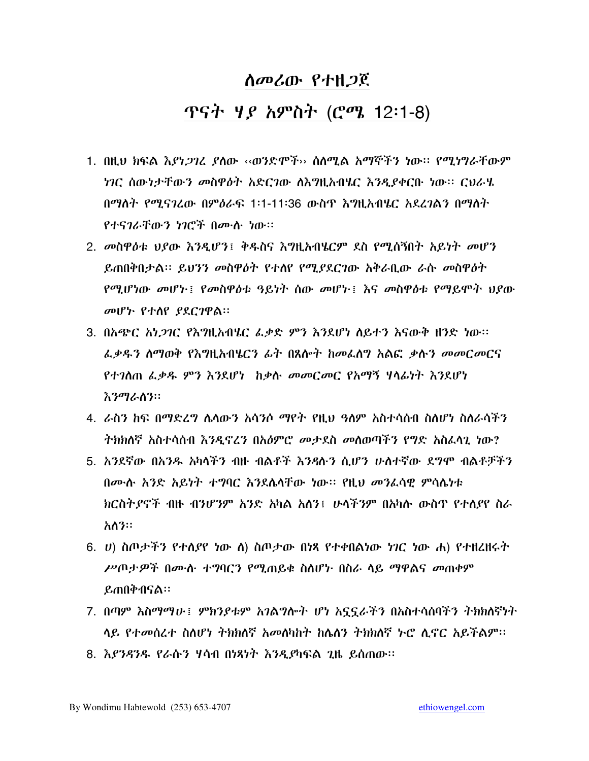### <u>ጥናት ሃይ አምስት (ሮሜ 12፡1-8)</u>

- <u>1. በዚህ ክፍል እያነ*ጋገ*ሪ ያ</u>ለው ‹‹ወንድሞች›› ስለሚል አማኞችን ነው። የሚነግራቸውም *ነገ*ር ሰውነታቸው*ን መ*ስዋ*ዕ*ት አድርገው ስእግዚአብሄር እንዲያቀርቡ ነው። ርህራሄ በማለት የሚናገረው በምዕራፍ 1፡1-11፡36 ውስጥ እግዚአብሄር አደረገልን በማለት የተናገራቸውን ነገሮች በሙሉ ነው።
- 2. መስዋዕቱ ህያው እንዲሆን፤ ቅዱስና እግዚአብሄርም ደስ የሚሰኝበት አይነት መሆን ይጠበቅበታል፡፡ ይህንን መስዋዕት የተሰየ የሚያደርገው አቅራቢው ራሱ መስዋዕት የሚሆነው መሆኑ፤ የመስዋዕቱ ዓይነት ሰው መሆኑ፤ እና መስዋዕቱ የማይሞት ህያው መሆኑ የተሰየ ያደርገዋል።
- 3. በአጭር *አነጋገ*ር የእግዚአብሄር ፌቃድ ምን እንደሆነ ለይተን እናውቅ ዘንድ ነው። ፌቃዱን ስማወቅ የእግዚአብሄርን ፊት በጸሎት ከመፈሰግ አልፎ ቃሉን መመርመርና የተገሰጠ ፌቃዱ ምን እንደሆነ ከቃሉ መመርመር የአማኝ ሃሳፊነት እንደሆነ እንማራስን።
- 4. ራስን ከፍ በማድረግ ሴሳውን አሳንሶ ማየት የዚህ ዓስም አስተሳሰብ ስለሆነ ስለራሳችን ትክክለኛ አስተሳሰብ እንዲኖረን በአዕምሮ መታደስ መለወጣችን የግድ አስፌሳጊ ነው?
- 5. አንደኛው በአንዱ አካላችን ብዙ ብልቶች እንዳሉን ሲሆን ሁለተኛው ደግሞ ብልቶቻችን በሙሉ አንድ አይነት ተግባር እንደሌላቸው ነው። የዚህ መንፈሳዊ ምሳሌነቱ ክርስትያኖች ብዙ ብንሆንም አንድ አካል አለን፤ ሁላችንም በአካሉ ውስጥ የተለያየ ስራ አስን።
- 6. ሀ) ስጦታችን የተሰያየ ነው ስ) ስጦታው በነጻ የተቀበልነው ነገር ነው ሐ) የተዘረዘሩት ሥጦታዎች በሙሉ ተግባርን የሚጠይቁ ስለሆኑ በስራ ላይ ማዋልና መጠቀም ይጠበቅብናል።
- 7. በጣም እስማማሁ፤ ምክንያቱም አገልግሎት ሆነ አኗኗራችን በአስተሳሰባችን ትክክለኛነት ላይ የተመሰረተ ስለሆነ ትክክለኛ አመለካከት ከሌለን ትክክለኛ ኑሮ ሊኖር አይችልም።
- 8. እያንዳንዱ የራሱን ሃሳብ በነጻነት እንዲያካፍል ጊዜ ይሰጠው።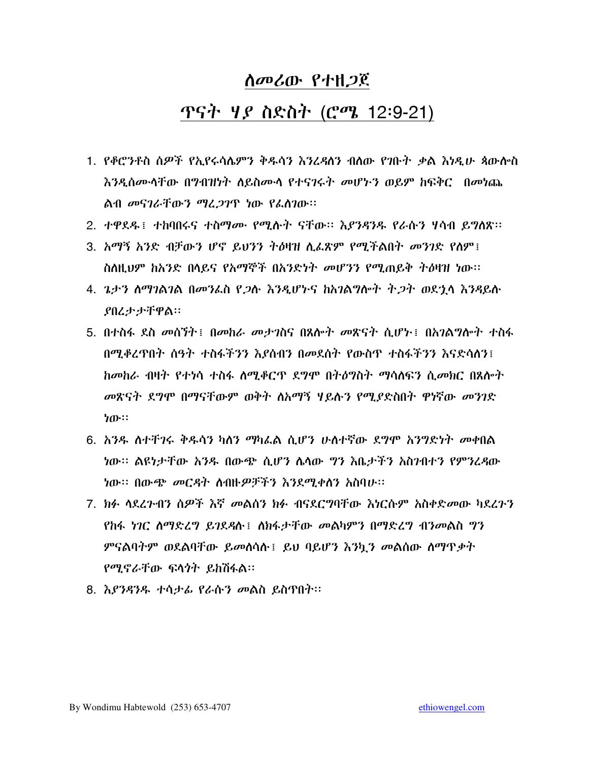#### <u>ጥናት ሃይ ስድስት (ሮሜ 12:9-21)</u>

- 1. የቆሮንቶስ ሰዎች የኢየሩሳሌምን ቅዱሳን እንረዳሰን ብለው የንቡት ቃል እነዲሁ ጳውሎስ እንዲሰሙላቸው በግብዝነት ስይስሙላ የተናገሩት መሆኑን ወይም ከፍቅር -በመነጨ ልብ መናገራቸውን ማረ*ጋገ*ጥ ነው የፌስገው።
- 2. ተዋደዱ፤ ተከባበሩና ተስማሙ የሚሱት ናቸው። እያንዳንዱ የራሱን ሃሳብ ይግለጽ።
- 3. አማኝ አንድ ብቻውን ሆኖ ይህንን ትዕዛዝ ሲፌጽም የሚችልበት መንገድ የስም፤ ስለዚህም ከአንድ በላይና የአማኞች በአንድነት መሆንን የሚጠይቅ ትዕዛዝ ነው።
- 4. ጌታን ስማገልገል በመንፌስ የ*ጋ*ሱ እንዲሆኑና ከአገልግሎት ት*ጋ*ት ወደ<u>ኂ</u>ላ እንዳይሱ **ያበረታታቸዋል።**
- 5. በተስፋ ደስ መሰኘት፤ በመከራ መታገስና በጸሎት መጽናት ሲሆኑ፤ በአገልግሎት ተስፋ በሚቆረጥበት ሰዓት ተስፋችንን እያሰብን በመደሰት የውስጥ ተስፋችንን እናድሳሰን፤ *ከመከራ ብዛት የተነ*ሳ ተስፋ ለሚቆርጥ ደግሞ በተዕግስት ማሳለፍን ሲ*መክ*ር በጸሎት መጽናት ደግሞ በማናቸውም ወቅት ለአማኝ ሃይሉን የሚያድስበት ዋነኛው መንገድ ነው።
- 6. አንዱ ለተቸንሩ ቅዱሳን ካለን ማካፌል ሲሆን ሁለተኛው ደግሞ አንግድነት መቀበል ነው፡፡ ልዩነታቸው አንዱ በውጭ ሲሆን ሴሳው ግን እቤታችን አስንብተን የምንረዳው *ነ*ው። በውጭ *መርዳ*ት ለብዙ*ዎቻችን እንደሚቀ*ስን አስባሁ።
- 7. ክፉ ሳደረንብን ሰዎች እኛ መልሰን ክፉ ብናደርግባቸው እነርሱም አስቀድመው ካደረጉን የከፋ ነገር ስማድረግ ይገደዳሉ ፣ ስክፋታቸው መልካምን በማድረግ ብንመልስ ግን ምናልባትም ወደልባቸው ይመሰሳስ ፤ ይህ ባይሆን እንኪን መልሰው ስማዋቃት *የሚኖራቸ*ው ፍላ*ጎ*ት ይከሽፋል።
- 8. እያንዳንዱ ተሳታፊ የራሱን መልስ ይስጥበት።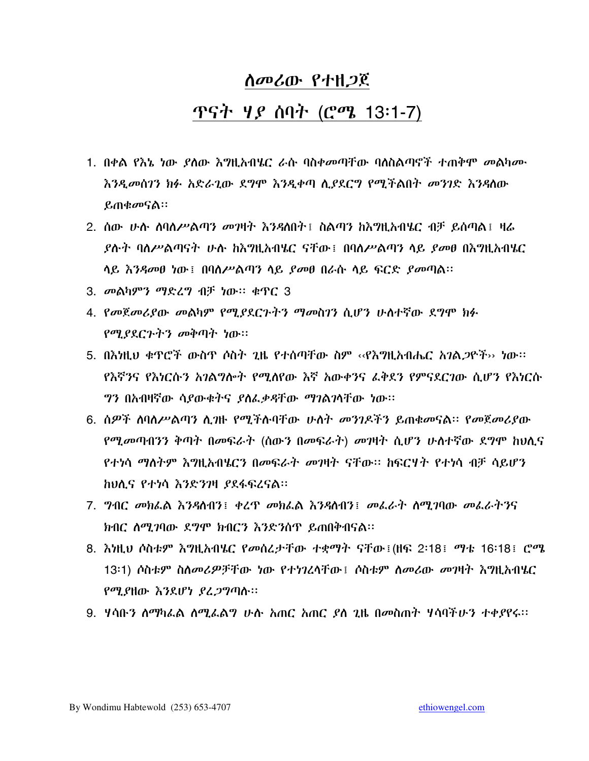#### <u>ሰመሪው የ</u>ተዘ*ጋ*ጀ

#### <u>ጥናት ሃይ ሰባት (ሮሜ 13:1-7)</u>

- 1. በቀል የእኔ ነው ያለው እግዚአብሄር ራሱ ባስቀመጣቸው ባለስልጣኖች ተጠቅሞ መልካሙ እንዲመሰገን ክፉ አድራጊው ደግሞ እንዲቀጣ ሲያደርግ የሚችልበት መንገድ እንዳለው ይጠቁመናል።
- 2. ሰው ሁሉ ሰባለሥልጣን መ**ዝት እንዳለበት፤ ስልጣን ከእ**ግዚአብሄር ብቻ ይሰጣል፤ ዛሬ *ያ*ስት ባለሥልጣናት ሁስ ከእግዚአብሄር ናቸው፤ በባለሥልጣን ላይ *ያመ*ፀ በእግዚአብሄር ሳይ እንዳመፀ ነው፤ በባለሥልጣን ሳይ ያመፀ በራሱ ሳይ ፍርድ ያመጣል።
- 3. መልካምን ማድረግ ብቻ ነው። ቁጥር 3
- 4. የመጀመሪያው መልካም የሚያደርጉትን ማመስገን ሲሆን ሁስተኛው ደግሞ ክፉ የሚያደርጉትን መቅጣት ነው።
- 5. በእነዚህ ቁጥሮች ውስጥ ሶስት ጊዜ የተሰጣቸው ስም ‹‹የእግዚአብሔር *አገል ጋ*ዮች›› ነው፡፡ የእኛንና የእነርሱን አገልግሎት የሚሰየው እኛ አውቀንና ፌቅደን የምናደርገው ሲሆን የእነርሱ *ግን* በአብዛኛው ሳ*ያ*ውቁትና *ያስፌቃዳ*ቸው ማገልገሳቸው ነው።
- 6. ሰዎች ሰባስሥልጣን ሲባዙ የሚችሉባቸው ሁስት መንገዶችን ይጠቁመናል። የመጀመሪያው የሚመጣብንን ቅጣት በመፍራት (ሰውን በመፍራት) መገዛት ሲሆን ሁስተኛው ደግሞ ከህሊና የተነሳ ማስትም እግዚአብሄርን በመፍራት መገዛት ናቸው፡፡ ከፍርሃት የተነሳ ብቻ ሳይሆን ከህሲና የተነሳ እንድንገዛ ያደፋፍረናል።
- 7. ግብር መክፌል እንዳስብን፤ ቀረዋ መክፌል እንዳስብን፤ መፌራት ስሚገባው መፌራትንና ክብር ስሚገባው ደግሞ ክብርን እንድንስጥ ይጠበቅብናል፡፡
- 8. እነዚህ ሶስቱም እግዚአብሄር የመሰረታቸው ተቋማት ናቸው፤(ዘፍ 2፡18፤ ማቴ 16፡18፤ ሮሜ 13፡1) ሶስቱም ስለመሪዎቻቸው ነው የተነገረሳቸው፤ ሶስቱም ስመሪው መዝት እግዚአብሄር የሚያዘው እንደሆነ ያፈጋግጣሉ፡፡
- 9. ሃሳቡን ስማካፌል ስሚፌልግ ሁሉ አጠር አጠር ያስ ጊዜ በመስጠት ሃሳባችሁን ተቀያየሩ።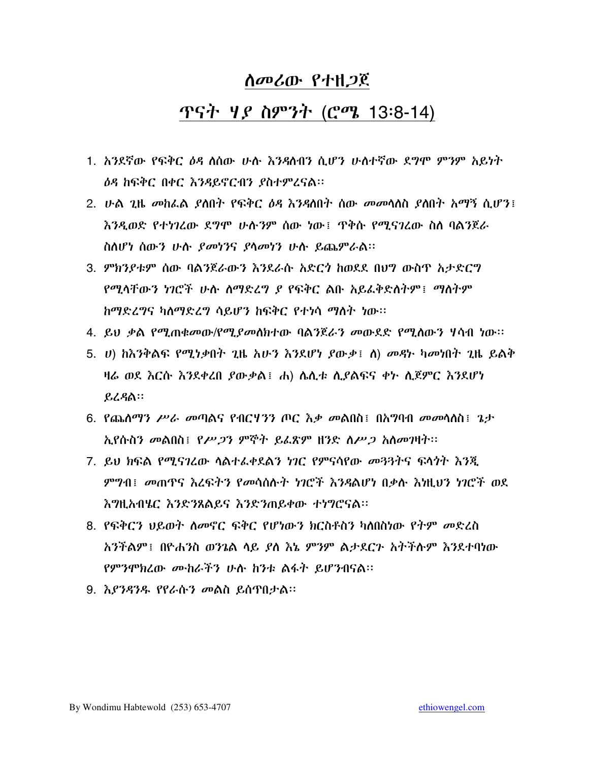#### <u>ጥናት ሃይ ስምንት (ሮሜ 13:8-14)</u>

- 1. አንደኛው የፍቅር ዕዳ ለሰው ሁሉ እንዳለብን ሲሆን ሁለተኛው ደግሞ ምንም አይነት *ዕዳ* ከፍቅር በቀር እንዳይኖርብን ያስተምረናል።
- 2. ሁል ጊዜ መከፌል ያለበት የፍቅር ዕዳ እንዳለበት ስው መመሳለስ ያለበት አማኝ ሲሆን፤ እንዲወድ የተነገረው ደግሞ ሁስንም ሰው ነው፤ ዋቅስ የሚናገረው ስስ ባልንጀራ ስስሆነ ሰውን ሁሉ *ያመነገ*ና ያሳመነን ሁሉ ይጨምራል።
- 3. ምክንያቱም ሰው ባልንጀራውን እንደራሱ አድርጎ ከወደደ በህግ ውስጥ አታድርግ የሚላቸውን ነገሮች ሁሉ ሰማድረግ ደ የፍቅር ልቡ አይፈቅድሰትም፤ ማስትም ከማድረግና ካለማድረግ ሳይሆን ከፍቅር የተነሳ ማለት ነው።
- 4. ይህ ቃል የሚጠቁመው/የሚደመስክተው ባልንጀራን መውደድ የሚሰውን ሃሳብ ነው።
- 5. *ህ*) ከእንቅልፍ የሚነቃበት ጊዜ አሁን እንደሆነ ያውቃ፤ ለ) መዳት ካመነበት ጊዜ ይልቅ ዛሬ ወደ እርሱ እንደቀረበ ያውቃል፤ ሐ) ሴሲቱ ሲያልፍና ቀኑ ሲጀምር እንደሆነ ይረዳል።
- 6. የጨለማን ሥራ መጣልና የብርሃንን ጦር እቃ መልበስ፤ በአግባብ መመሳለስ፤ ጌታ አያሱስን መልበስ፤ የሥ*ጋ*ን ምኞት ይፈጽም ዘንድ *ስሥጋ አስመገ*ዛት።
- 7. ይህ ክፍል የሚናገረው ሳልታፌቀደልን ነገር የምናሳየው መጓጓትና ፍላጎት እንጂ ምግብ፤ መጠጥና እረፍትን የመሳሰሉት ነገሮች እንዳልሆነ በቃሉ እነዚህን ነገሮች ወደ እግዚአብሄር እንድንጸልይና እንድንጠይቀው ተነግሮናል።
- 8. የፍቅርን ህይወት ስመኖር ፍቅር የሆነውን ክርስቶስን ካለበስነው የትም መድረስ አንችልም፤ በዮሐንስ ወንጌል ላይ ያለ እኔ ምንም ልታደርጉ አትችሉም እንደተባነው የምንሞክረው ሙከራችን ሁሉ ከንቱ ልፋት ይሆንብናል፡፡
- 9. እያንዳንዱ የየራሱን መልስ ይሰዋበታል፡፡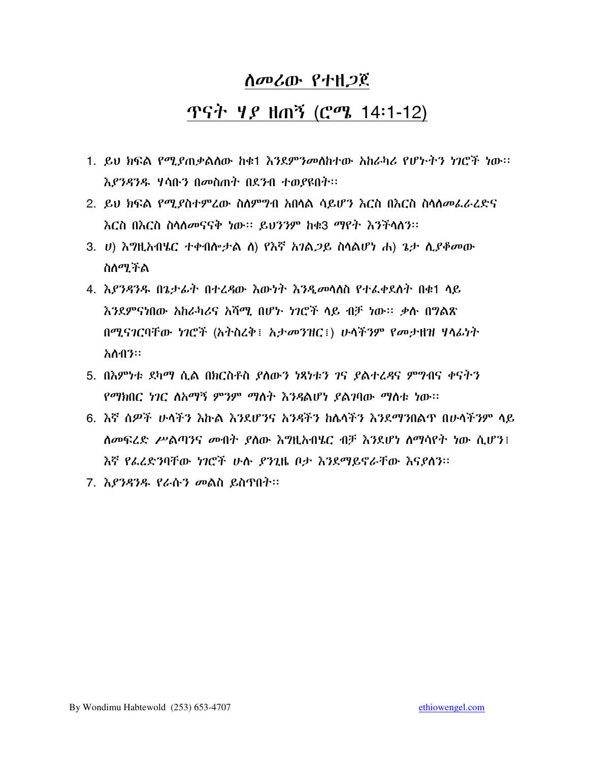#### <u>ጥናት ሃይ ዘጠኝ (ሮሜ 14፡1-12)</u>

- 1. ይህ ክፍል የሚያጠቃልሰው ከቁ1 እንደምንመስከተው አከራካሪ የሆኑትን ነገሮች ነው፡፡ እያንዳንዱ ሃሳቡን በመስጠት በደንብ ተወያዩበት።
- 2. ይህ ክፍል የሚያስተምረው ስለምግብ አበሳል ሳይሆን እርስ በእርስ ስሳለመፌራረድና <u>እርስ በእርስ ስሳሰመናናቅ ነው፡፡ ይህንንም ከቁ3 ማየት እንችሳስን፡፡</u>
- 3. U) እግዚአብሄር ተቀብሎታል ለ) የእኛ አገል*ጋ*ይ ስላልሆነ ሐ) ጌታ ሲ*ያቆመ*ው ስለሚችል
- 4. እያንዳንዱ በጌታፊት በተረዳው እውነት እንዲመሳሰስ የተፌቀደሰት በቁ1 ሳይ እንደምናነበው አከራካሪና አሻማ በሆኑ ነገሮች ላይ ብቻ ነው። ቃሉ በግልጽ በሚናገርባቸው ነገሮች (አትስሬቅ፤ አታመንዝር፤) ሁላችንም የመታዘዝ ሃላፊነት አስብን።
- 5. በእምነቱ ደካማ ሲል በክርስቶስ ያለውን ነጻነቱን ገና ያልተረዳና ምግብና ቀናትን የማክበር ነገር ለአማኝ ምንም ማለት እንዳልሆነ ያልገባው ማለቱ ነው።
- 6. እኛ ሰዎች ሁላችን እኩል እንደሆንና አንዳችን ከሴላችን እንደማንበልጥ በሁላችንም ላይ ሰመፍረድ ሥልጣንና መብት ያስው እግዚአብሄር ብቻ እንደሆነ ስማሳየት ነው ሲሆን፤ እኛ የፌረድንባቸው ካገሮች ሁሉ ያንጊዜ ቦታ እንደማይኖራቸው እናያለን፡፡
- 7. እ*ያንዳንዱ የራ*ሱ*ን መ*ልስ ይስጥበት፡፡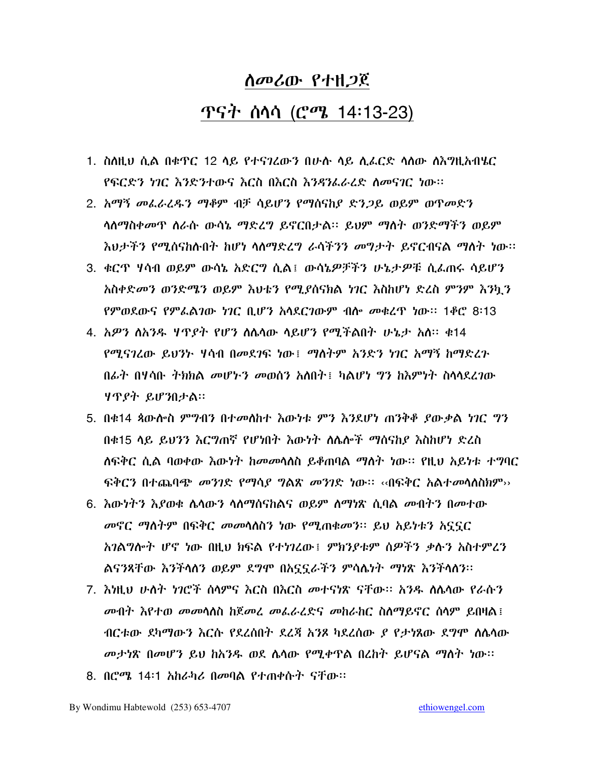# ሰመሪው የተዘጋጀ <u>ጥናት ስሳሳ (ሮሜ 14፡13-23)</u>

- 1. ስስዚህ ሲል በቁጥር 12 ሳይ የተናገረውን በሁስ ሳይ ሲፌርድ ሳሰው ሰእግዚአብሄር የፍርድን ካር እንድንተውና እርስ በእርስ እንዳንፌራረድ ስመናገር ነው።
- 2. አማኝ መፌራሬዱን ማቆም ብቻ ሳይሆን የማሰናከያ ድንጋይ ወይም ወጥመድን ሳስማስቀመጥ ስራሱ ውሳኔ ማድረግ ይኖርበታል። ይህም ማስት ወንድማችን ወይም እህታችን የሚሰናከሉበት ከሆነ ሳስማድረግ ራሳችንን *መግታት ይኖር*ብናል ማስት ነው።
- 3. ቁርጥ ሃሳብ ወይም ውሳኔ አድርግ ሲል፤ ውሳኔዎቻችን ሁኔታዎቹ ሲፌጠሩ ሳይሆን አስቀድመን ወንድሜን ወይም እህቴን የሚያሰናክል ነገር እስከሆነ ድረስ ምንም እንኳን የምወደውና የምፌልገው ነገር ቢሆን አሳደርገውም ብሎ መቁረዋ ነው። 1ቆሮ 8፡13
- 4. አዎን ስአንዱ ሃጥያት የሆን ስሌሳው ሳይሆን የሚችልበት ሁኔታ አስ። ቁ14 የሚናገረው ይህንኮ ሃሳብ በመደገፍ ነው፤ ማስተም አንድን ነገር አማኝ ከማድረጉ በፊት በሃሳቡ ትክክል መሆኑን መወሰን አለበት፤ ካልሆነ ግን ከእምነት ስላሳደረገው ሃጥያት ይሆንበታል።
- 5. በቁ14 ጳውሎስ ምንብን በተመለከተ እውነቱ ምን እንደሆነ ጠንቅቆ ያውቃል ነገር ግን በቁ15 ላይ ይህንን እርግጠኛ የሆነበተ እውነተ ለሌሎች ማሰናከደ እስከሆነ ድረስ ለፍቅር ሲል ባወቀው እውነት ከመመሳለስ ይቆጠባል ማለት ነው። የዚህ አይነቱ ተግባር <u>ፍቅርን በተጨባጭ *መንገ*ድ የማሳ*ደ ግ*ልጽ *መንገ*ድ ነው። ‹‹በፍቅር አልተመሳስስክም››</u>
- 6. እውነትን እያወቁ ሌላውን ሳስማስናከልና ወይም ስማነጽ ሲባል መብትን በመተው *መ*ኖር *ማስትም* በፍቅር *መመ*ሳሰስን ነው የሚጠቁመን። ይህ አይነቱን አናናር አገልግሎት ሆኖ ነው በዚህ ክፍል የተነገረው፤ ምክንያቱም ሰዎችን ቃሉን አስተምረን ልናንጻቸው እንችላስን ወይም ደግሞ በአኗኗራችን ምሳሴነት ማነጽ እንችላስን።
- 7. እነዚህ ሁለት ነገሮች ሰላምና እርስ በእርስ መተናነጽ ናቸው። አንዱ ስሴሳው የራሱን *መ*ብት እየተወ መመሳለስ ከጀመሬ መፌራሬድና መከራከር ስለማይኖር ሰላም ይበዛል፤ ብርቱው ደካማውን እርሱ የደረሰበት ደረጃ አንጾ ካደረሰው *ደ* የታነጸው ደግሞ ስሴሳው መታነጽ በመሆን ይህ ከአንዱ ወደ ሌሳው የሚቀጥል በረከት ይሆናል ማለት ነው።
- 8. በሮሜ 14፡1 አከራካሪ በመባል የተጠቀሱት ናቸው፡፡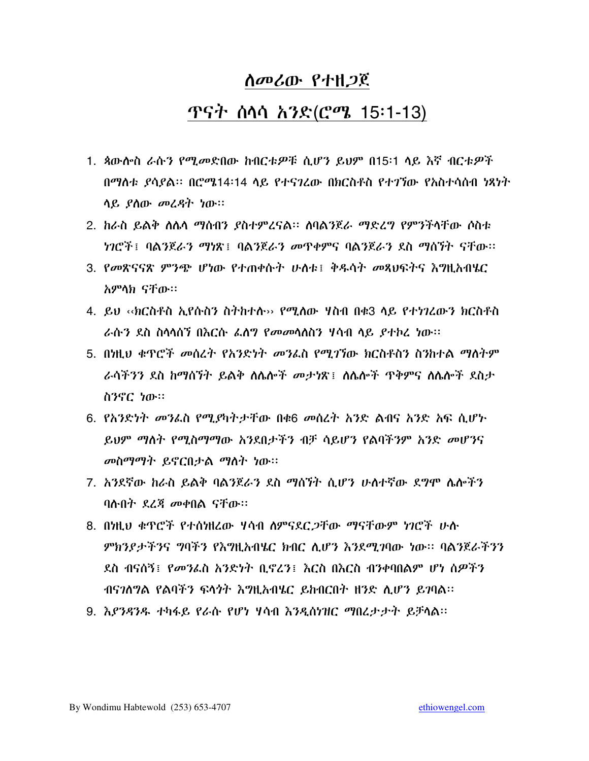#### <u>ጥናት ሰሳሳ አንድ(ሮሜ 15፡1-13)</u>

- 1. ጳውሎስ ራሱን የሚመድበው ከብርቱዎቹ ሲሆን ይህም በ15፡1 ላይ እኛ ብርቱዎች በማስቱ ያሳያል፡፡ በሮሜ14፡14 ሳይ የተናገረው በክርስቶስ የተገኘው የአስተሳሰብ ነጻነት ሳይ ያስው መረዳት ነው።
- 2. ከራስ ይልቅ ስሌሳ ማስብን ያስተምረናል። ሰባልንጀራ ማድረግ የምንችሳቸው ሶስቱ *ነገሮች*፤ ባልንጀራ*ን ማነ*ጽ፤ ባልንጀራ*ን መ*ጥቀምና ባልንጀራን ደስ ማስኘት ናቸው።
- 3. የመጽናናጽ ምንጭ ሆነው የተጠቀሱት ሁስቱ፤ ቅዱሳት መጸህፍትና እግዚአብሄር አምላክ ናቸው።
- 4. ይህ ‹‹ክርስቶስ ኢየሱስን ስትክተሉ›› የሚለው ሃስብ በቁ3 ላይ የተነገረውን ክርስቶስ ራሱን ደስ ስላሳሰኘ በእርሱ ፌስግ የመመሳለስን ሃሳብ ላይ ያተኮረ ነው።
- 5. በነዚህ ቁጥሮች መሰረት የአንድነት መንፌስ የሚገኘው ክርስቶስን ስንከተል ማለትም ራሳችንን ደስ ከማሰኘት ይልቅ ስሴሎች መታነጽ፤ ስሴሎች ጥቅምና ስሴሎች ደስታ ስንኖር ነው።
- 6. የአንድነት መንፌስ የሚያካትታቸው በቁ6 መሰረት አንድ ልብና አንድ አፍ ሲሆኑ ይህም ማስት የሚስማማው አንደበታችን ብቻ ሳይሆን የልባችንም አንድ መሆንና መስማማት ይኖርበታል ማስት ነው።
- 7. አንደኛው ከራስ ይልቅ ባልንጀራን ደስ ማስኘት ሲሆን ሁለተኛው ደግሞ ሴሎችን ባሉበት ደረጃ መቀበል ናቸው።
- 8. በካዚህ ቁጥሮች የተሰካዘረው ሃሳብ ስምናደር*ጋ*ቸው ማናቸውም *ነገ*ሮች ሁሉ ምክንያታችንና ግባችን የእግዚአብሄር ክብር ሲሆን እንደሚገባው ነው። ባልንጀራችንን ደስ ብናሰኝ፤ የመንፌስ አንድነት ቢኖረን፤ እርስ በእርስ ብንቀባበልም ሆነ ሰዎችን ብናገለግል የልባችን ፍላጎት እግዚአብሄር ይከብርበት ዘንድ ሲሆን ይገባል።
- 9. እያንዳንዱ ተካፋይ የራሱ የሆነ ሃሳብ እንዲስነዝር ማበረታታት ይቻላል፡፡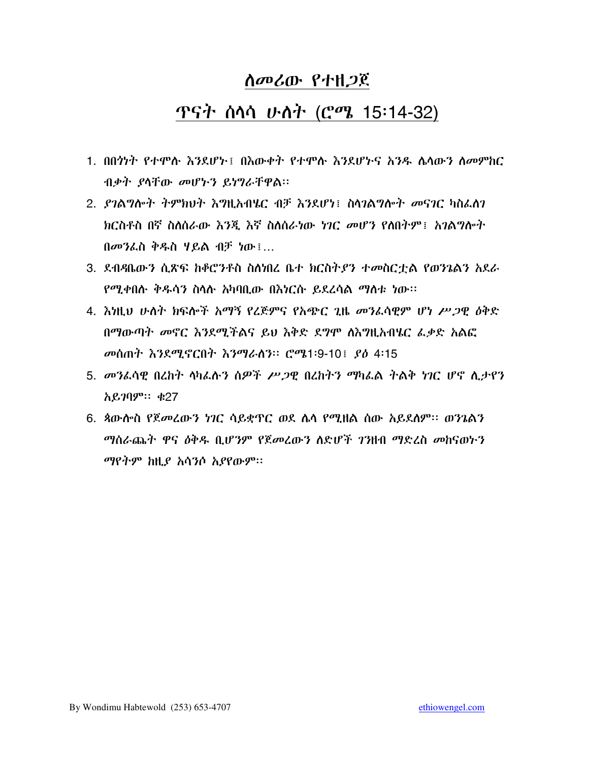## ጥናት ሰሳሳ ሁለት (ሮሜ 15:14-32)

- 1. በበንካት የተሞሉ እንደሆኑ፤ በእውቀት የተሞሉ እንደሆኑና አንዱ ለላውን ለመምከር ብቃት ያላቸው መሆኑን ይነግራቸዋል።
- 2. ደገልግሎት ትምክህት እግዚአብሄር ብቻ እንደሆነ፤ ስሳገልግሎት መናገር ካስፌስገ ክርስቶስ በኛ ስለሰራው እንጂ እኛ ስለሰራነው ነገር መሆን የለበትም፤ አገልግሎት በመንፌስ ቅዱስ ሃይል ብቻ ነው !...
- 3. ደብዳቤውን ሲጽፍ ከቆሮንቶስ ስስነበረ ቤተ ክርስትያን ተመስርቷል የወንጌልን አደራ <u>የሚቀበሱ ቅዱሳን ስሳሱ አካባቢው በእነርሱ ይደረሳል ማስቱ ነው፡፡</u>
- 4. እነዚህ ሁለት ክፍሎች አማኝ የረጅምና የአጭር ጊዜ መንፌሳዊም ሆነ ሥጋዊ ዕቅድ በማውጣት መኖር እንደሚችልና ይህ እቅድ ደግሞ ሰእግዚአብሄር ፌቃድ አልፎ መሰጠት እንደሚኖርበት እንማራሰን። ሮሜ1፡9-10! ያዕ 4፡15
- 5. መንፌሳዊ በረከት ላካፌሉን ሰዎች ሥጋዊ በረከትን ማካፌል ትልቅ ነገር ሆኖ ሲታየን አይንባም። ቁ27
- 6. ጳውሎስ የጀመረውን ነገር ሳይቋጥር ወደ ሴሳ የሚዘል ሰው አይደስም። ወንጌልን ማሰራጨት ዋና ዕቅዱ ቢሆንም የጀመረውን ስድሆች ገንዘብ ማድረስ መከናወትን ማየትም ከዚያ አሳንሶ አያየውም፡፡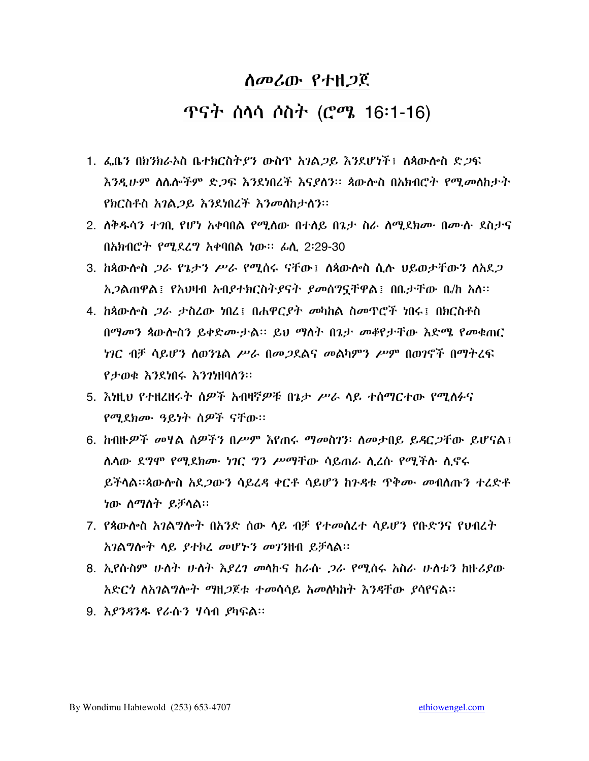#### <u>ጥናት ስላሳ ሶስት (ሮሜ 16፡1-16)</u>

- 1. ፌቤን በክንክራኦስ ቤተክርስተያን ውስጥ አገልጋይ እንደሆነች፤ ስጳውስ ስድጋፍ እንዲሁም ስሌሎችም ድ*ጋ*ፍ እንደነበረች እናያለን። ጳውሎስ በአክብሮት የሚ*መ*ስከታት የክርስቶስ አገል*ጋ*ይ እንደነበረች እንመለከታለን።
- 2. ለቅዱሳን ተገቢ የሆነ አቀባበል የሚሰው በተሰይ በኔታ ስራ ሰሚደክሙ በሙሉ ደስታና በአክብሮት የሚደረግ አቀባበል ነው፡፡ ፊሲ 2፡29-30
- 3. ከጳውሎስ *ጋራ የጌታን ሥራ የሚ*ሰሩ ናቸው፤ ለጳውሎስ ሲሉ ህይወታቸውን ለአደ*ጋ አጋ*ልጠዋል፤ የአህዛብ አብ*ያተክርስትያናት ያመ*ሰግኗቸዋል፤ በቤታቸው ቤ/ከ አስ።
- 4. ከጳውሎስ *ጋራ ታ*ስረው ነበረ፤ በሐዋር*ያት መ*ካከል ስመጥሮች ነበሩ፤ በክርስቶስ በማመን ጳውሎስን ይቀድሙታል። ይህ ማስት በኔታ መቆየታቸው እድሜ የመቁጠር *ነገ*ር ብቻ ሳይሆን ስወንጌል *ሥራ* በመ*ጋ*ደልና መልካምን ሥም በወገኖች በማትረፍ የታወቁ እንደነበሩ እንገነዘባስን።
- 5. እነዚህ የተዘረዘሩት ሰዎች አብዛኛዎቹ በጌታ ሥራ ሳይ ተሰማርተው የሚሰፉና የሚደክሙ ዓይነት ሰዎች ናቸው።
- 6. ከብዙ*ዎች መ*ዛል ሰዎችን በሥም እየጠሩ ማመስገን፡ ስመታበይ ይዳር*ጋ*ቸው ይሆናል፤ ሌላው ደ*ግሞ የሚደክሙ ነገር ግን ሥ*ማቸው ሳይጠራ ሲረሱ የሚችሉ ሲኖሩ ይችሳል።ጳውሎስ አደ*ጋ*ውን ሳይረዳ ቀርቶ ሳይሆን ከንዳቱ ጥቅ*ሙ መ*ብሰጡን ተረድቶ ነው ስማስት ይቻሳል።
- 7. የጳውሎስ አንልግሎት በአንድ ሰው ላይ ብቻ የተመሰረተ ሳይሆን የቡድንና የህብረት አገልግሎት ሳይ ያተኮረ መሆኑን መገንዘብ ይቻሳል፡፡
- 8. ኢየሱስም ሁለት ሁለት *እያረገ መ*ሳኩና ከራሱ *ጋራ* የሚሰሩ አስራ ሁለቱን ከዙሪያው አድርጎ ስአገልግሎት ማዘጋጀቱ ተመሳሳይ አመስካከት እንዳቸው ያሳየናል፡፡
- 9. እ*ያንዳንዱ የራ*ሱን ሃሳብ *ያ*ካፍል፡፡